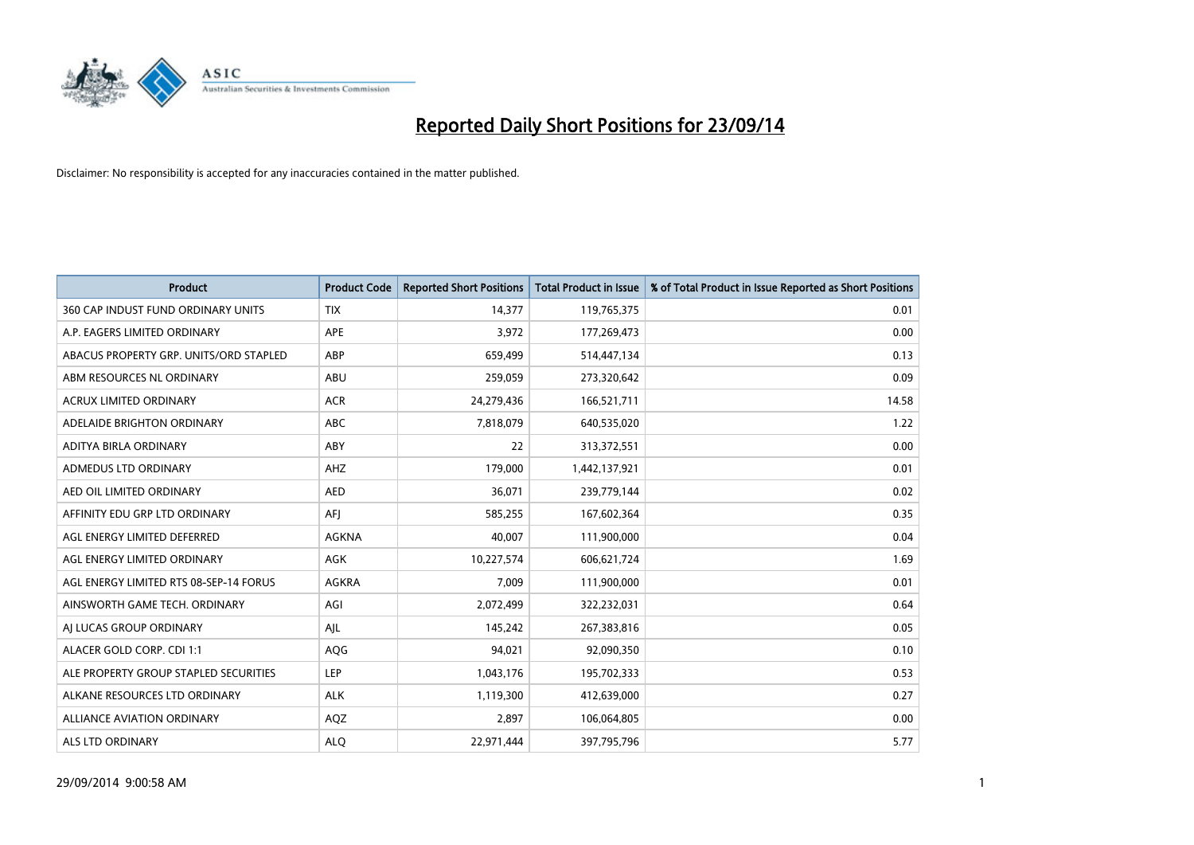

| <b>Product</b>                         | <b>Product Code</b> | <b>Reported Short Positions</b> | <b>Total Product in Issue</b> | % of Total Product in Issue Reported as Short Positions |
|----------------------------------------|---------------------|---------------------------------|-------------------------------|---------------------------------------------------------|
| 360 CAP INDUST FUND ORDINARY UNITS     | <b>TIX</b>          | 14,377                          | 119,765,375                   | 0.01                                                    |
| A.P. EAGERS LIMITED ORDINARY           | APE                 | 3,972                           | 177,269,473                   | 0.00                                                    |
| ABACUS PROPERTY GRP. UNITS/ORD STAPLED | ABP                 | 659,499                         | 514,447,134                   | 0.13                                                    |
| ABM RESOURCES NL ORDINARY              | ABU                 | 259,059                         | 273,320,642                   | 0.09                                                    |
| <b>ACRUX LIMITED ORDINARY</b>          | <b>ACR</b>          | 24,279,436                      | 166,521,711                   | 14.58                                                   |
| ADELAIDE BRIGHTON ORDINARY             | <b>ABC</b>          | 7,818,079                       | 640,535,020                   | 1.22                                                    |
| ADITYA BIRLA ORDINARY                  | ABY                 | 22                              | 313,372,551                   | 0.00                                                    |
| ADMEDUS LTD ORDINARY                   | AHZ                 | 179,000                         | 1,442,137,921                 | 0.01                                                    |
| AED OIL LIMITED ORDINARY               | <b>AED</b>          | 36,071                          | 239,779,144                   | 0.02                                                    |
| AFFINITY EDU GRP LTD ORDINARY          | AFI                 | 585,255                         | 167,602,364                   | 0.35                                                    |
| AGL ENERGY LIMITED DEFERRED            | <b>AGKNA</b>        | 40,007                          | 111,900,000                   | 0.04                                                    |
| AGL ENERGY LIMITED ORDINARY            | AGK                 | 10,227,574                      | 606,621,724                   | 1.69                                                    |
| AGL ENERGY LIMITED RTS 08-SEP-14 FORUS | AGKRA               | 7,009                           | 111,900,000                   | 0.01                                                    |
| AINSWORTH GAME TECH. ORDINARY          | AGI                 | 2,072,499                       | 322,232,031                   | 0.64                                                    |
| AI LUCAS GROUP ORDINARY                | AJL                 | 145,242                         | 267,383,816                   | 0.05                                                    |
| ALACER GOLD CORP. CDI 1:1              | AQG                 | 94,021                          | 92,090,350                    | 0.10                                                    |
| ALE PROPERTY GROUP STAPLED SECURITIES  | LEP                 | 1,043,176                       | 195,702,333                   | 0.53                                                    |
| ALKANE RESOURCES LTD ORDINARY          | <b>ALK</b>          | 1,119,300                       | 412,639,000                   | 0.27                                                    |
| <b>ALLIANCE AVIATION ORDINARY</b>      | AQZ                 | 2,897                           | 106,064,805                   | 0.00                                                    |
| ALS LTD ORDINARY                       | <b>ALO</b>          | 22,971,444                      | 397,795,796                   | 5.77                                                    |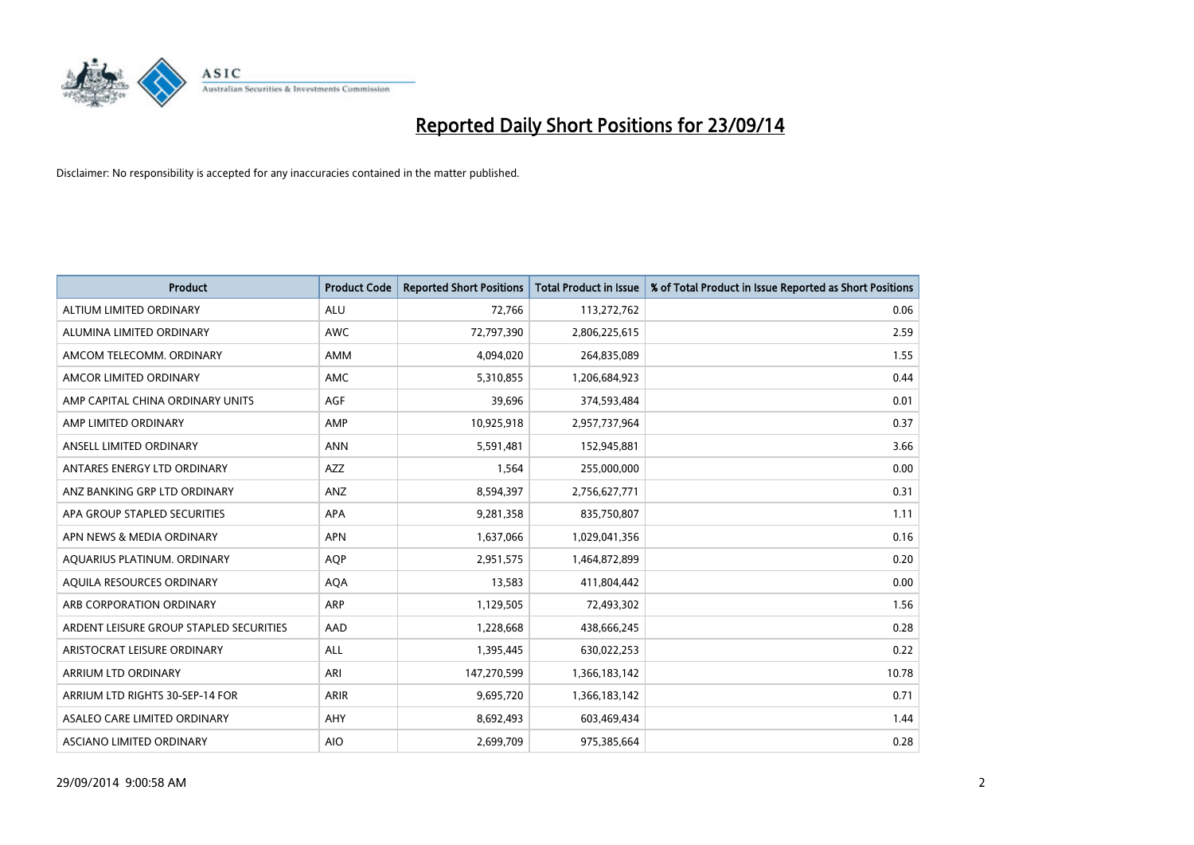

| <b>Product</b>                          | <b>Product Code</b> | <b>Reported Short Positions</b> | <b>Total Product in Issue</b> | % of Total Product in Issue Reported as Short Positions |
|-----------------------------------------|---------------------|---------------------------------|-------------------------------|---------------------------------------------------------|
| ALTIUM LIMITED ORDINARY                 | <b>ALU</b>          | 72,766                          | 113,272,762                   | 0.06                                                    |
| ALUMINA LIMITED ORDINARY                | AWC                 | 72,797,390                      | 2,806,225,615                 | 2.59                                                    |
| AMCOM TELECOMM, ORDINARY                | AMM                 | 4,094,020                       | 264,835,089                   | 1.55                                                    |
| AMCOR LIMITED ORDINARY                  | AMC                 | 5,310,855                       | 1,206,684,923                 | 0.44                                                    |
| AMP CAPITAL CHINA ORDINARY UNITS        | AGF                 | 39,696                          | 374,593,484                   | 0.01                                                    |
| AMP LIMITED ORDINARY                    | AMP                 | 10,925,918                      | 2,957,737,964                 | 0.37                                                    |
| ANSELL LIMITED ORDINARY                 | <b>ANN</b>          | 5,591,481                       | 152,945,881                   | 3.66                                                    |
| ANTARES ENERGY LTD ORDINARY             | AZZ                 | 1,564                           | 255,000,000                   | 0.00                                                    |
| ANZ BANKING GRP LTD ORDINARY            | ANZ                 | 8,594,397                       | 2,756,627,771                 | 0.31                                                    |
| APA GROUP STAPLED SECURITIES            | <b>APA</b>          | 9,281,358                       | 835,750,807                   | 1.11                                                    |
| APN NEWS & MEDIA ORDINARY               | <b>APN</b>          | 1,637,066                       | 1,029,041,356                 | 0.16                                                    |
| AQUARIUS PLATINUM. ORDINARY             | AQP                 | 2,951,575                       | 1,464,872,899                 | 0.20                                                    |
| AQUILA RESOURCES ORDINARY               | <b>AQA</b>          | 13,583                          | 411,804,442                   | 0.00                                                    |
| ARB CORPORATION ORDINARY                | ARP                 | 1,129,505                       | 72,493,302                    | 1.56                                                    |
| ARDENT LEISURE GROUP STAPLED SECURITIES | AAD                 | 1,228,668                       | 438,666,245                   | 0.28                                                    |
| ARISTOCRAT LEISURE ORDINARY             | ALL                 | 1,395,445                       | 630,022,253                   | 0.22                                                    |
| ARRIUM LTD ORDINARY                     | ARI                 | 147,270,599                     | 1,366,183,142                 | 10.78                                                   |
| ARRIUM LTD RIGHTS 30-SEP-14 FOR         | <b>ARIR</b>         | 9,695,720                       | 1,366,183,142                 | 0.71                                                    |
| ASALEO CARE LIMITED ORDINARY            | AHY                 | 8,692,493                       | 603,469,434                   | 1.44                                                    |
| ASCIANO LIMITED ORDINARY                | <b>AIO</b>          | 2,699,709                       | 975,385,664                   | 0.28                                                    |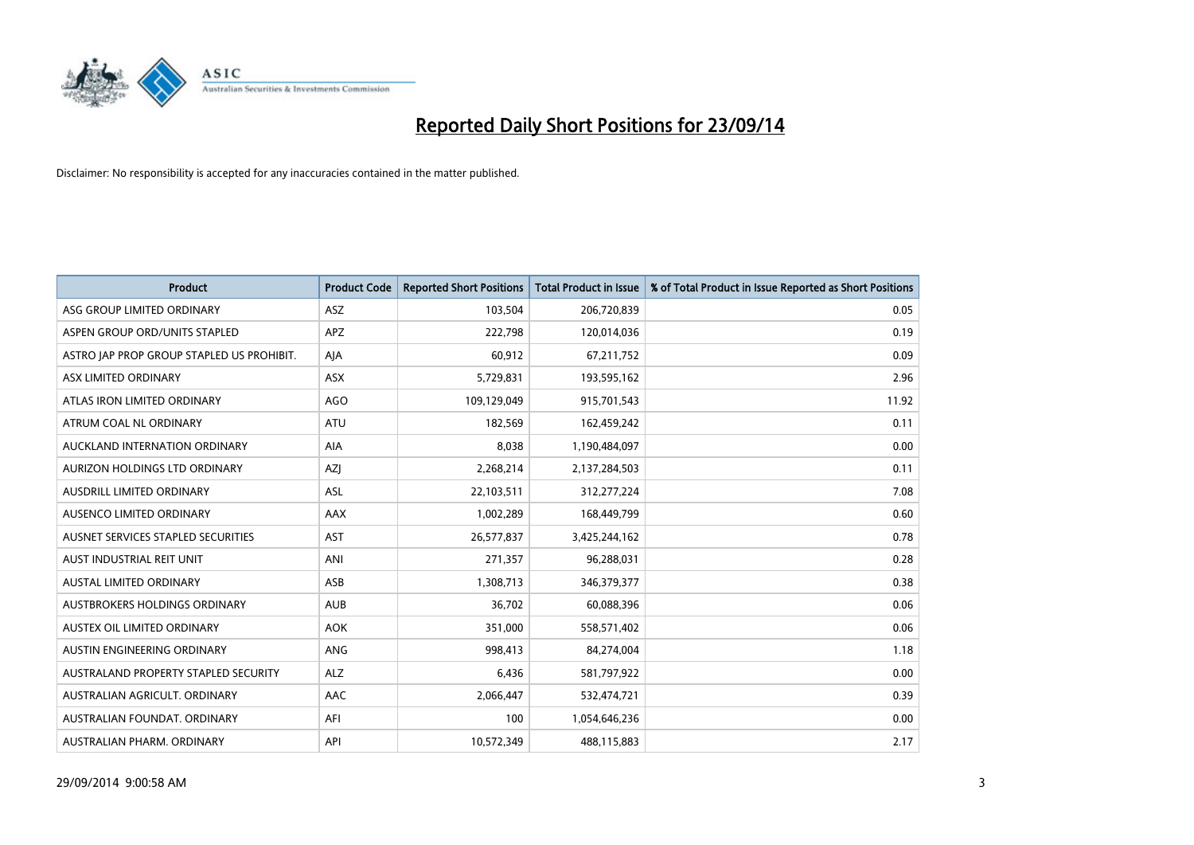

| <b>Product</b>                            | <b>Product Code</b> | <b>Reported Short Positions</b> | <b>Total Product in Issue</b> | % of Total Product in Issue Reported as Short Positions |
|-------------------------------------------|---------------------|---------------------------------|-------------------------------|---------------------------------------------------------|
| ASG GROUP LIMITED ORDINARY                | ASZ                 | 103,504                         | 206,720,839                   | 0.05                                                    |
| ASPEN GROUP ORD/UNITS STAPLED             | APZ                 | 222,798                         | 120,014,036                   | 0.19                                                    |
| ASTRO JAP PROP GROUP STAPLED US PROHIBIT. | AJA                 | 60,912                          | 67,211,752                    | 0.09                                                    |
| ASX LIMITED ORDINARY                      | ASX                 | 5,729,831                       | 193,595,162                   | 2.96                                                    |
| ATLAS IRON LIMITED ORDINARY               | <b>AGO</b>          | 109,129,049                     | 915,701,543                   | 11.92                                                   |
| ATRUM COAL NL ORDINARY                    | <b>ATU</b>          | 182,569                         | 162,459,242                   | 0.11                                                    |
| AUCKLAND INTERNATION ORDINARY             | AIA                 | 8,038                           | 1,190,484,097                 | 0.00                                                    |
| AURIZON HOLDINGS LTD ORDINARY             | AZJ                 | 2,268,214                       | 2,137,284,503                 | 0.11                                                    |
| AUSDRILL LIMITED ORDINARY                 | <b>ASL</b>          | 22,103,511                      | 312,277,224                   | 7.08                                                    |
| AUSENCO LIMITED ORDINARY                  | AAX                 | 1,002,289                       | 168,449,799                   | 0.60                                                    |
| AUSNET SERVICES STAPLED SECURITIES        | <b>AST</b>          | 26,577,837                      | 3,425,244,162                 | 0.78                                                    |
| AUST INDUSTRIAL REIT UNIT                 | ANI                 | 271,357                         | 96,288,031                    | 0.28                                                    |
| <b>AUSTAL LIMITED ORDINARY</b>            | ASB                 | 1,308,713                       | 346,379,377                   | 0.38                                                    |
| AUSTBROKERS HOLDINGS ORDINARY             | <b>AUB</b>          | 36,702                          | 60,088,396                    | 0.06                                                    |
| AUSTEX OIL LIMITED ORDINARY               | <b>AOK</b>          | 351,000                         | 558,571,402                   | 0.06                                                    |
| AUSTIN ENGINEERING ORDINARY               | ANG                 | 998,413                         | 84,274,004                    | 1.18                                                    |
| AUSTRALAND PROPERTY STAPLED SECURITY      | <b>ALZ</b>          | 6,436                           | 581,797,922                   | 0.00                                                    |
| AUSTRALIAN AGRICULT, ORDINARY             | AAC                 | 2,066,447                       | 532,474,721                   | 0.39                                                    |
| AUSTRALIAN FOUNDAT, ORDINARY              | AFI                 | 100                             | 1,054,646,236                 | 0.00                                                    |
| AUSTRALIAN PHARM, ORDINARY                | API                 | 10,572,349                      | 488,115,883                   | 2.17                                                    |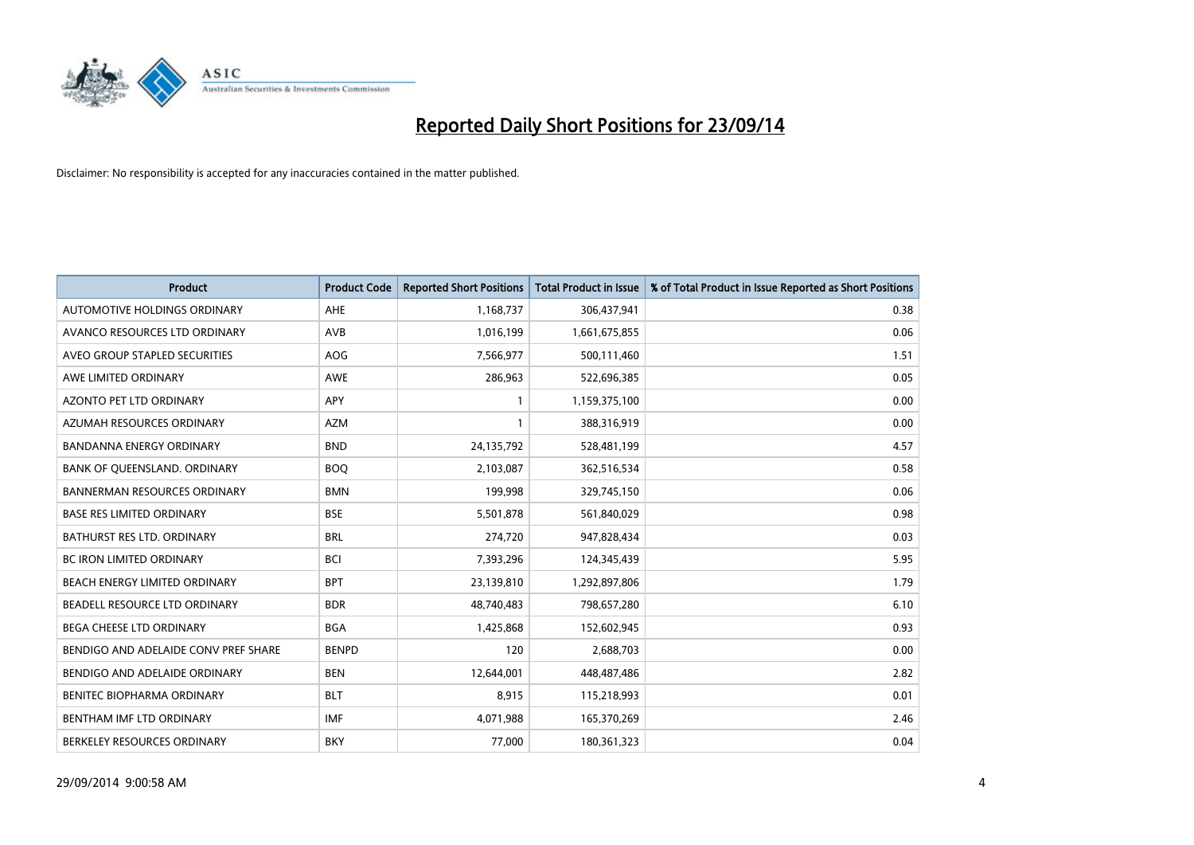

| <b>Product</b>                       | <b>Product Code</b> | <b>Reported Short Positions</b> | <b>Total Product in Issue</b> | % of Total Product in Issue Reported as Short Positions |
|--------------------------------------|---------------------|---------------------------------|-------------------------------|---------------------------------------------------------|
| AUTOMOTIVE HOLDINGS ORDINARY         | AHE                 | 1,168,737                       | 306,437,941                   | 0.38                                                    |
| AVANCO RESOURCES LTD ORDINARY        | AVB                 | 1,016,199                       | 1,661,675,855                 | 0.06                                                    |
| AVEO GROUP STAPLED SECURITIES        | <b>AOG</b>          | 7,566,977                       | 500,111,460                   | 1.51                                                    |
| AWE LIMITED ORDINARY                 | <b>AWE</b>          | 286,963                         | 522,696,385                   | 0.05                                                    |
| <b>AZONTO PET LTD ORDINARY</b>       | APY                 | 1                               | 1,159,375,100                 | 0.00                                                    |
| AZUMAH RESOURCES ORDINARY            | <b>AZM</b>          | 1                               | 388,316,919                   | 0.00                                                    |
| <b>BANDANNA ENERGY ORDINARY</b>      | <b>BND</b>          | 24,135,792                      | 528,481,199                   | 4.57                                                    |
| BANK OF QUEENSLAND. ORDINARY         | <b>BOO</b>          | 2,103,087                       | 362,516,534                   | 0.58                                                    |
| <b>BANNERMAN RESOURCES ORDINARY</b>  | <b>BMN</b>          | 199,998                         | 329,745,150                   | 0.06                                                    |
| <b>BASE RES LIMITED ORDINARY</b>     | <b>BSE</b>          | 5,501,878                       | 561,840,029                   | 0.98                                                    |
| BATHURST RES LTD. ORDINARY           | <b>BRL</b>          | 274,720                         | 947,828,434                   | 0.03                                                    |
| <b>BC IRON LIMITED ORDINARY</b>      | <b>BCI</b>          | 7,393,296                       | 124,345,439                   | 5.95                                                    |
| BEACH ENERGY LIMITED ORDINARY        | <b>BPT</b>          | 23,139,810                      | 1,292,897,806                 | 1.79                                                    |
| BEADELL RESOURCE LTD ORDINARY        | <b>BDR</b>          | 48,740,483                      | 798,657,280                   | 6.10                                                    |
| <b>BEGA CHEESE LTD ORDINARY</b>      | <b>BGA</b>          | 1,425,868                       | 152,602,945                   | 0.93                                                    |
| BENDIGO AND ADELAIDE CONV PREF SHARE | <b>BENPD</b>        | 120                             | 2,688,703                     | 0.00                                                    |
| BENDIGO AND ADELAIDE ORDINARY        | <b>BEN</b>          | 12,644,001                      | 448,487,486                   | 2.82                                                    |
| BENITEC BIOPHARMA ORDINARY           | <b>BLT</b>          | 8,915                           | 115,218,993                   | 0.01                                                    |
| BENTHAM IMF LTD ORDINARY             | <b>IMF</b>          | 4,071,988                       | 165,370,269                   | 2.46                                                    |
| BERKELEY RESOURCES ORDINARY          | <b>BKY</b>          | 77,000                          | 180,361,323                   | 0.04                                                    |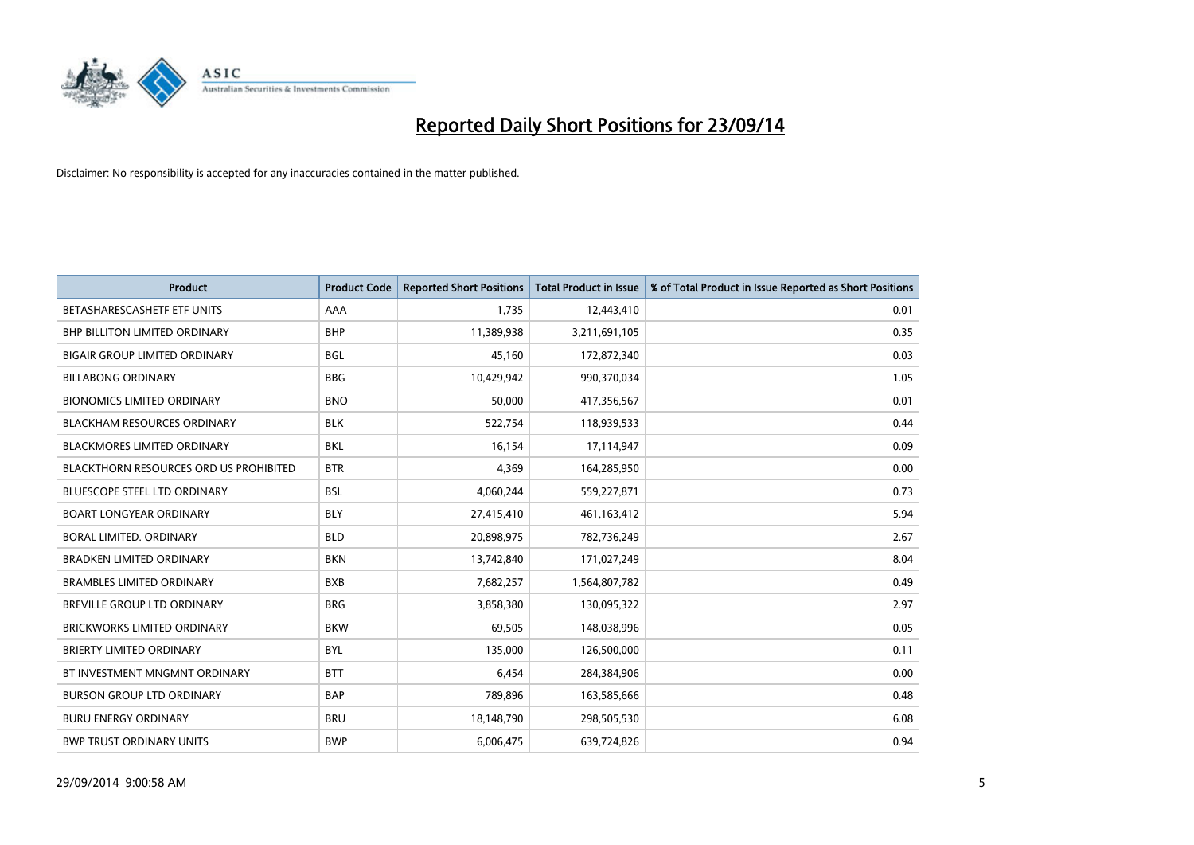

| <b>Product</b>                                | <b>Product Code</b> | <b>Reported Short Positions</b> | <b>Total Product in Issue</b> | % of Total Product in Issue Reported as Short Positions |
|-----------------------------------------------|---------------------|---------------------------------|-------------------------------|---------------------------------------------------------|
| BETASHARESCASHETF ETF UNITS                   | AAA                 | 1,735                           | 12,443,410                    | 0.01                                                    |
| BHP BILLITON LIMITED ORDINARY                 | <b>BHP</b>          | 11,389,938                      | 3,211,691,105                 | 0.35                                                    |
| <b>BIGAIR GROUP LIMITED ORDINARY</b>          | <b>BGL</b>          | 45.160                          | 172,872,340                   | 0.03                                                    |
| <b>BILLABONG ORDINARY</b>                     | <b>BBG</b>          | 10,429,942                      | 990,370,034                   | 1.05                                                    |
| <b>BIONOMICS LIMITED ORDINARY</b>             | <b>BNO</b>          | 50,000                          | 417,356,567                   | 0.01                                                    |
| <b>BLACKHAM RESOURCES ORDINARY</b>            | <b>BLK</b>          | 522,754                         | 118,939,533                   | 0.44                                                    |
| <b>BLACKMORES LIMITED ORDINARY</b>            | <b>BKL</b>          | 16,154                          | 17,114,947                    | 0.09                                                    |
| <b>BLACKTHORN RESOURCES ORD US PROHIBITED</b> | <b>BTR</b>          | 4,369                           | 164,285,950                   | 0.00                                                    |
| <b>BLUESCOPE STEEL LTD ORDINARY</b>           | <b>BSL</b>          | 4,060,244                       | 559,227,871                   | 0.73                                                    |
| <b>BOART LONGYEAR ORDINARY</b>                | <b>BLY</b>          | 27,415,410                      | 461,163,412                   | 5.94                                                    |
| BORAL LIMITED. ORDINARY                       | <b>BLD</b>          | 20,898,975                      | 782,736,249                   | 2.67                                                    |
| <b>BRADKEN LIMITED ORDINARY</b>               | <b>BKN</b>          | 13,742,840                      | 171,027,249                   | 8.04                                                    |
| <b>BRAMBLES LIMITED ORDINARY</b>              | <b>BXB</b>          | 7,682,257                       | 1,564,807,782                 | 0.49                                                    |
| <b>BREVILLE GROUP LTD ORDINARY</b>            | <b>BRG</b>          | 3,858,380                       | 130,095,322                   | 2.97                                                    |
| <b>BRICKWORKS LIMITED ORDINARY</b>            | <b>BKW</b>          | 69,505                          | 148,038,996                   | 0.05                                                    |
| BRIERTY LIMITED ORDINARY                      | <b>BYL</b>          | 135,000                         | 126,500,000                   | 0.11                                                    |
| BT INVESTMENT MNGMNT ORDINARY                 | <b>BTT</b>          | 6,454                           | 284,384,906                   | 0.00                                                    |
| <b>BURSON GROUP LTD ORDINARY</b>              | <b>BAP</b>          | 789,896                         | 163,585,666                   | 0.48                                                    |
| <b>BURU ENERGY ORDINARY</b>                   | <b>BRU</b>          | 18,148,790                      | 298,505,530                   | 6.08                                                    |
| <b>BWP TRUST ORDINARY UNITS</b>               | <b>BWP</b>          | 6,006,475                       | 639,724,826                   | 0.94                                                    |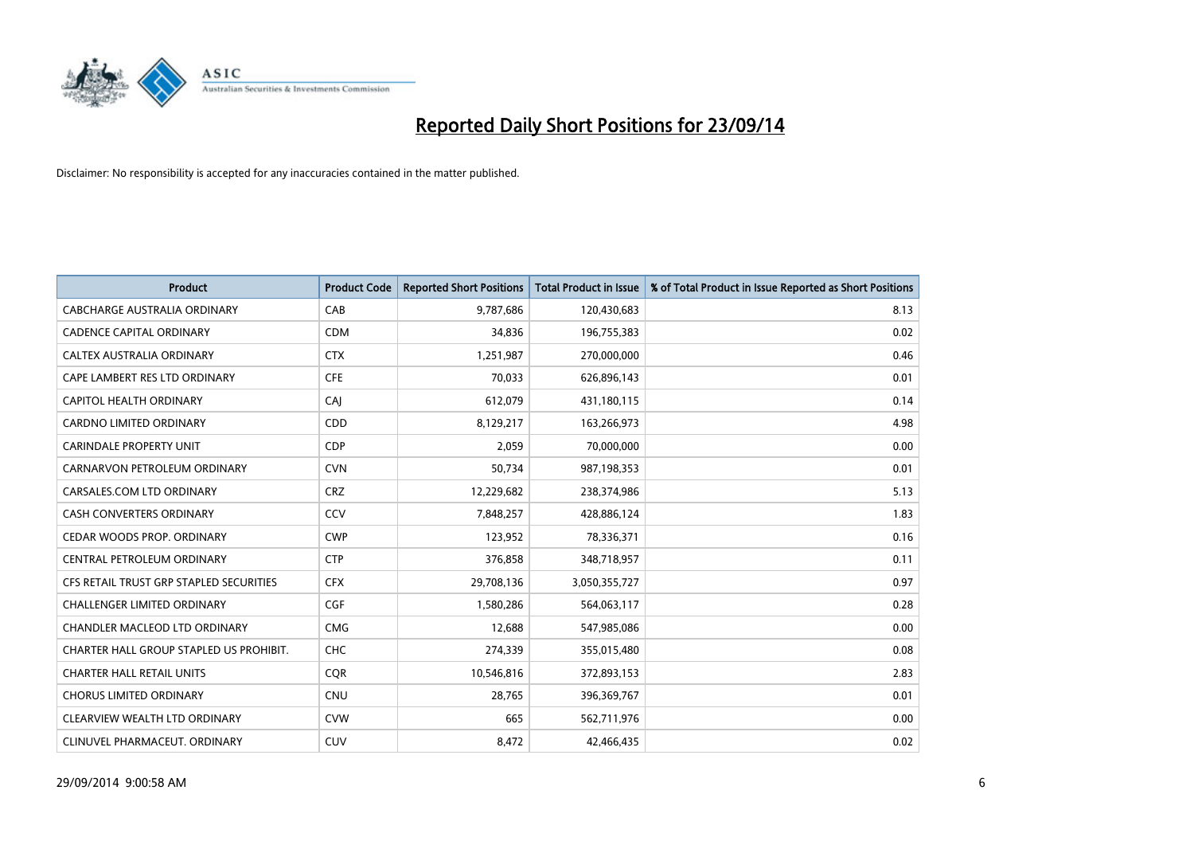

| <b>Product</b>                          | <b>Product Code</b> | <b>Reported Short Positions</b> | <b>Total Product in Issue</b> | % of Total Product in Issue Reported as Short Positions |
|-----------------------------------------|---------------------|---------------------------------|-------------------------------|---------------------------------------------------------|
| <b>CABCHARGE AUSTRALIA ORDINARY</b>     | CAB                 | 9,787,686                       | 120,430,683                   | 8.13                                                    |
| <b>CADENCE CAPITAL ORDINARY</b>         | <b>CDM</b>          | 34,836                          | 196,755,383                   | 0.02                                                    |
| <b>CALTEX AUSTRALIA ORDINARY</b>        | <b>CTX</b>          | 1,251,987                       | 270,000,000                   | 0.46                                                    |
| CAPE LAMBERT RES LTD ORDINARY           | <b>CFE</b>          | 70,033                          | 626,896,143                   | 0.01                                                    |
| CAPITOL HEALTH ORDINARY                 | CAJ                 | 612,079                         | 431,180,115                   | 0.14                                                    |
| <b>CARDNO LIMITED ORDINARY</b>          | CDD                 | 8,129,217                       | 163,266,973                   | 4.98                                                    |
| CARINDALE PROPERTY UNIT                 | <b>CDP</b>          | 2,059                           | 70,000,000                    | 0.00                                                    |
| CARNARVON PETROLEUM ORDINARY            | <b>CVN</b>          | 50,734                          | 987,198,353                   | 0.01                                                    |
| CARSALES.COM LTD ORDINARY               | <b>CRZ</b>          | 12,229,682                      | 238,374,986                   | 5.13                                                    |
| <b>CASH CONVERTERS ORDINARY</b>         | CCV                 | 7,848,257                       | 428,886,124                   | 1.83                                                    |
| CEDAR WOODS PROP. ORDINARY              | <b>CWP</b>          | 123,952                         | 78,336,371                    | 0.16                                                    |
| CENTRAL PETROLEUM ORDINARY              | <b>CTP</b>          | 376,858                         | 348,718,957                   | 0.11                                                    |
| CFS RETAIL TRUST GRP STAPLED SECURITIES | <b>CFX</b>          | 29,708,136                      | 3,050,355,727                 | 0.97                                                    |
| <b>CHALLENGER LIMITED ORDINARY</b>      | <b>CGF</b>          | 1,580,286                       | 564,063,117                   | 0.28                                                    |
| CHANDLER MACLEOD LTD ORDINARY           | <b>CMG</b>          | 12,688                          | 547,985,086                   | 0.00                                                    |
| CHARTER HALL GROUP STAPLED US PROHIBIT. | <b>CHC</b>          | 274,339                         | 355,015,480                   | 0.08                                                    |
| <b>CHARTER HALL RETAIL UNITS</b>        | <b>CQR</b>          | 10,546,816                      | 372,893,153                   | 2.83                                                    |
| <b>CHORUS LIMITED ORDINARY</b>          | <b>CNU</b>          | 28,765                          | 396,369,767                   | 0.01                                                    |
| CLEARVIEW WEALTH LTD ORDINARY           | <b>CVW</b>          | 665                             | 562,711,976                   | 0.00                                                    |
| CLINUVEL PHARMACEUT, ORDINARY           | CUV                 | 8,472                           | 42,466,435                    | 0.02                                                    |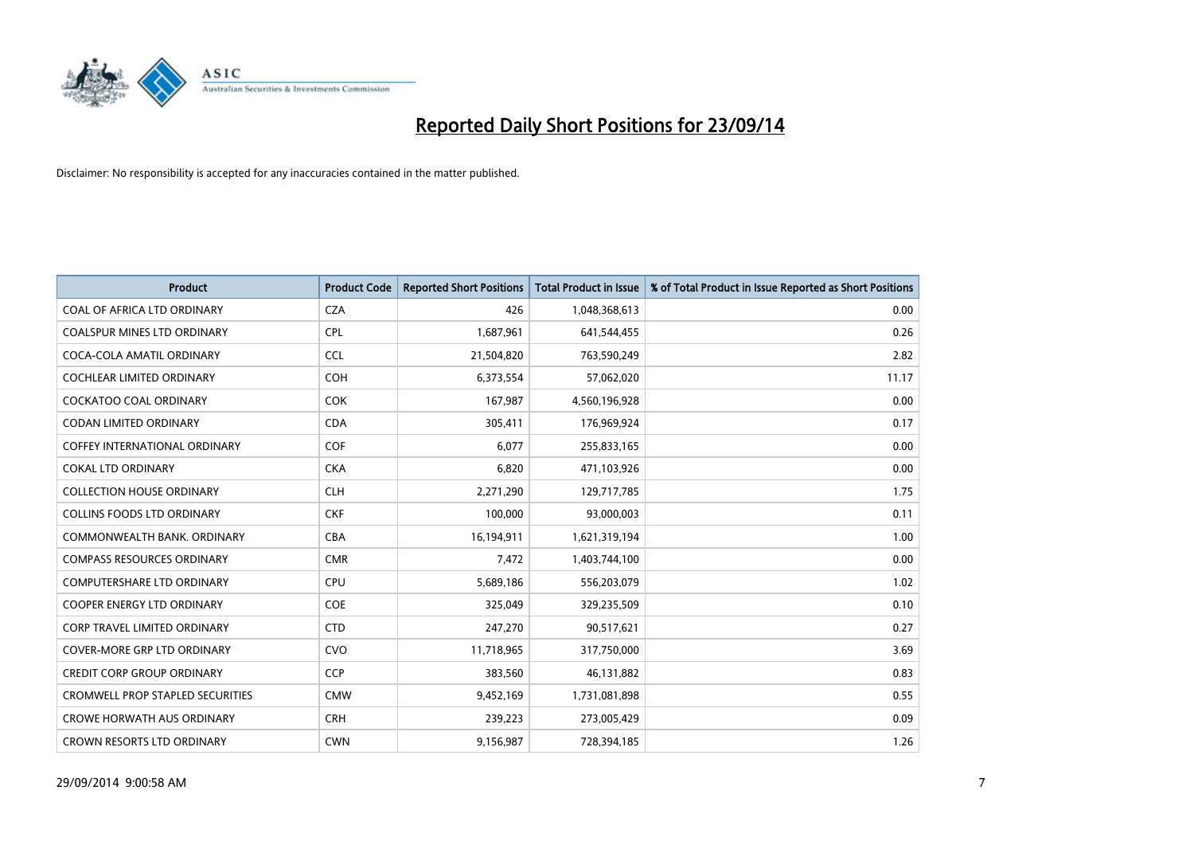

| <b>Product</b>                          | <b>Product Code</b> | <b>Reported Short Positions</b> | <b>Total Product in Issue</b> | % of Total Product in Issue Reported as Short Positions |
|-----------------------------------------|---------------------|---------------------------------|-------------------------------|---------------------------------------------------------|
| COAL OF AFRICA LTD ORDINARY             | <b>CZA</b>          | 426                             | 1,048,368,613                 | 0.00                                                    |
| COALSPUR MINES LTD ORDINARY             | <b>CPL</b>          | 1,687,961                       | 641,544,455                   | 0.26                                                    |
| COCA-COLA AMATIL ORDINARY               | <b>CCL</b>          | 21,504,820                      | 763,590,249                   | 2.82                                                    |
| <b>COCHLEAR LIMITED ORDINARY</b>        | COH                 | 6,373,554                       | 57,062,020                    | 11.17                                                   |
| <b>COCKATOO COAL ORDINARY</b>           | <b>COK</b>          | 167,987                         | 4,560,196,928                 | 0.00                                                    |
| <b>CODAN LIMITED ORDINARY</b>           | <b>CDA</b>          | 305,411                         | 176,969,924                   | 0.17                                                    |
| <b>COFFEY INTERNATIONAL ORDINARY</b>    | <b>COF</b>          | 6,077                           | 255,833,165                   | 0.00                                                    |
| <b>COKAL LTD ORDINARY</b>               | <b>CKA</b>          | 6,820                           | 471,103,926                   | 0.00                                                    |
| <b>COLLECTION HOUSE ORDINARY</b>        | <b>CLH</b>          | 2,271,290                       | 129,717,785                   | 1.75                                                    |
| <b>COLLINS FOODS LTD ORDINARY</b>       | <b>CKF</b>          | 100,000                         | 93,000,003                    | 0.11                                                    |
| COMMONWEALTH BANK, ORDINARY             | <b>CBA</b>          | 16,194,911                      | 1,621,319,194                 | 1.00                                                    |
| <b>COMPASS RESOURCES ORDINARY</b>       | <b>CMR</b>          | 7,472                           | 1,403,744,100                 | 0.00                                                    |
| <b>COMPUTERSHARE LTD ORDINARY</b>       | <b>CPU</b>          | 5,689,186                       | 556,203,079                   | 1.02                                                    |
| <b>COOPER ENERGY LTD ORDINARY</b>       | <b>COE</b>          | 325,049                         | 329,235,509                   | 0.10                                                    |
| <b>CORP TRAVEL LIMITED ORDINARY</b>     | <b>CTD</b>          | 247,270                         | 90,517,621                    | 0.27                                                    |
| <b>COVER-MORE GRP LTD ORDINARY</b>      | <b>CVO</b>          | 11,718,965                      | 317,750,000                   | 3.69                                                    |
| <b>CREDIT CORP GROUP ORDINARY</b>       | <b>CCP</b>          | 383,560                         | 46,131,882                    | 0.83                                                    |
| <b>CROMWELL PROP STAPLED SECURITIES</b> | <b>CMW</b>          | 9,452,169                       | 1,731,081,898                 | 0.55                                                    |
| <b>CROWE HORWATH AUS ORDINARY</b>       | <b>CRH</b>          | 239,223                         | 273,005,429                   | 0.09                                                    |
| CROWN RESORTS LTD ORDINARY              | <b>CWN</b>          | 9,156,987                       | 728,394,185                   | 1.26                                                    |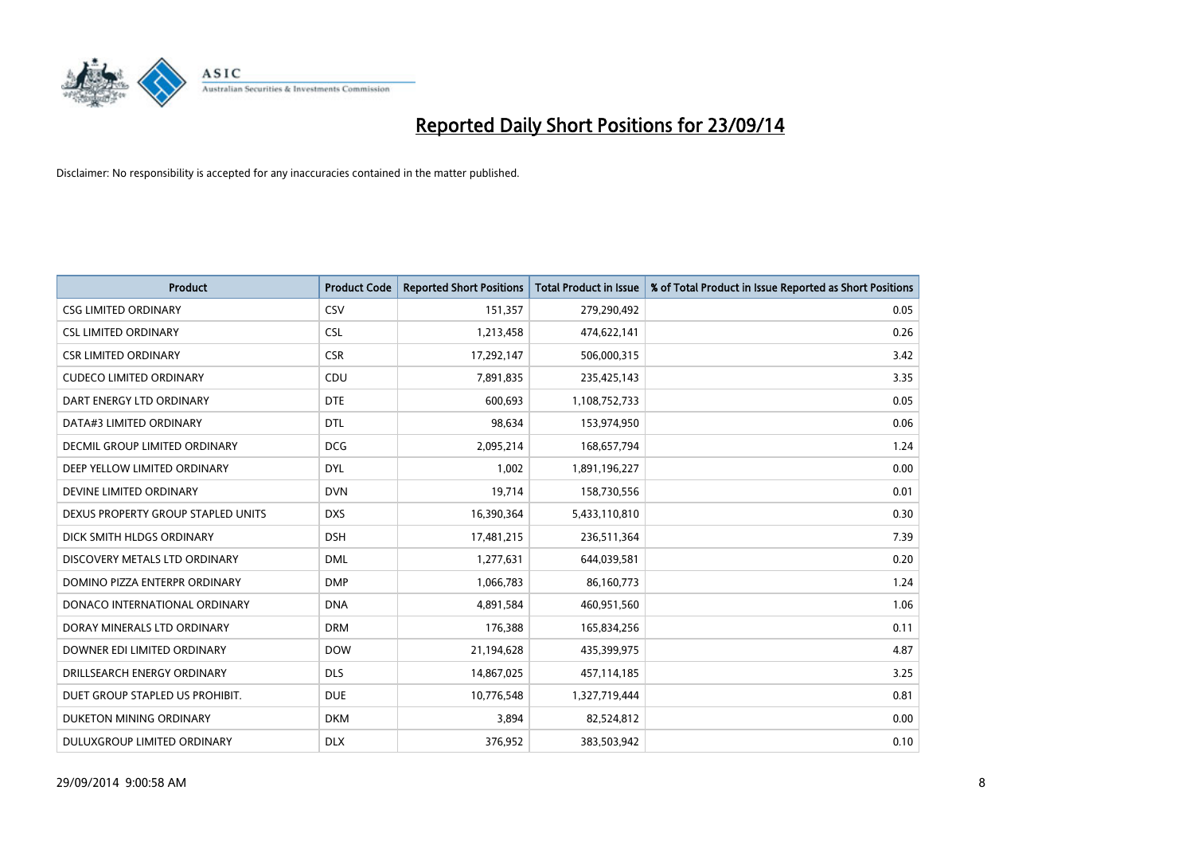

| <b>Product</b>                       | <b>Product Code</b> | <b>Reported Short Positions</b> | <b>Total Product in Issue</b> | % of Total Product in Issue Reported as Short Positions |
|--------------------------------------|---------------------|---------------------------------|-------------------------------|---------------------------------------------------------|
| <b>CSG LIMITED ORDINARY</b>          | CSV                 | 151,357                         | 279,290,492                   | 0.05                                                    |
| <b>CSL LIMITED ORDINARY</b>          | <b>CSL</b>          | 1,213,458                       | 474,622,141                   | 0.26                                                    |
| <b>CSR LIMITED ORDINARY</b>          | <b>CSR</b>          | 17,292,147                      | 506,000,315                   | 3.42                                                    |
| <b>CUDECO LIMITED ORDINARY</b>       | CDU                 | 7,891,835                       | 235,425,143                   | 3.35                                                    |
| DART ENERGY LTD ORDINARY             | <b>DTE</b>          | 600,693                         | 1,108,752,733                 | 0.05                                                    |
| DATA#3 LIMITED ORDINARY              | <b>DTL</b>          | 98,634                          | 153,974,950                   | 0.06                                                    |
| <b>DECMIL GROUP LIMITED ORDINARY</b> | <b>DCG</b>          | 2,095,214                       | 168,657,794                   | 1.24                                                    |
| DEEP YELLOW LIMITED ORDINARY         | <b>DYL</b>          | 1,002                           | 1,891,196,227                 | 0.00                                                    |
| DEVINE LIMITED ORDINARY              | <b>DVN</b>          | 19,714                          | 158,730,556                   | 0.01                                                    |
| DEXUS PROPERTY GROUP STAPLED UNITS   | <b>DXS</b>          | 16,390,364                      | 5,433,110,810                 | 0.30                                                    |
| DICK SMITH HLDGS ORDINARY            | <b>DSH</b>          | 17,481,215                      | 236,511,364                   | 7.39                                                    |
| DISCOVERY METALS LTD ORDINARY        | <b>DML</b>          | 1,277,631                       | 644,039,581                   | 0.20                                                    |
| DOMINO PIZZA ENTERPR ORDINARY        | <b>DMP</b>          | 1,066,783                       | 86,160,773                    | 1.24                                                    |
| DONACO INTERNATIONAL ORDINARY        | <b>DNA</b>          | 4,891,584                       | 460,951,560                   | 1.06                                                    |
| DORAY MINERALS LTD ORDINARY          | <b>DRM</b>          | 176,388                         | 165,834,256                   | 0.11                                                    |
| DOWNER EDI LIMITED ORDINARY          | <b>DOW</b>          | 21,194,628                      | 435,399,975                   | 4.87                                                    |
| DRILLSEARCH ENERGY ORDINARY          | <b>DLS</b>          | 14,867,025                      | 457,114,185                   | 3.25                                                    |
| DUET GROUP STAPLED US PROHIBIT.      | <b>DUE</b>          | 10,776,548                      | 1,327,719,444                 | 0.81                                                    |
| DUKETON MINING ORDINARY              | <b>DKM</b>          | 3,894                           | 82,524,812                    | 0.00                                                    |
| DULUXGROUP LIMITED ORDINARY          | <b>DLX</b>          | 376,952                         | 383,503,942                   | 0.10                                                    |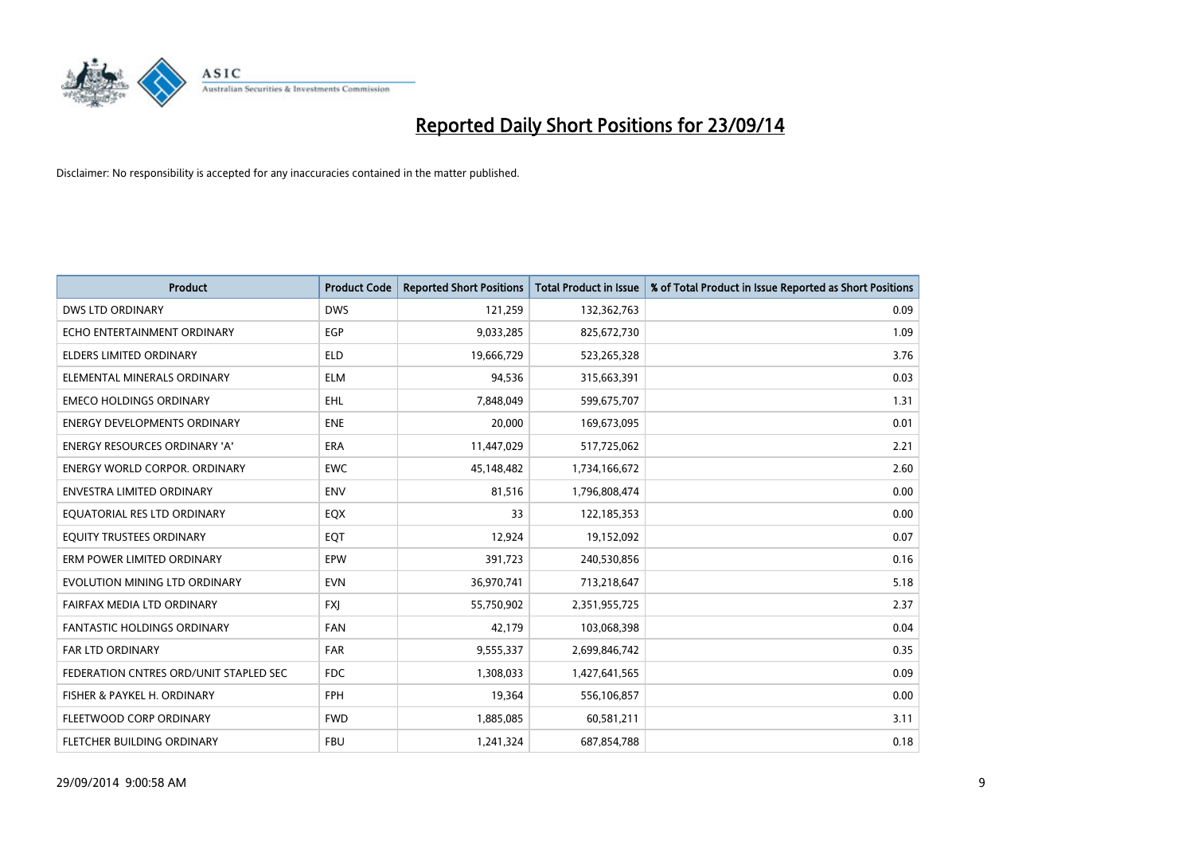

| <b>Product</b>                         | <b>Product Code</b> | <b>Reported Short Positions</b> | <b>Total Product in Issue</b> | % of Total Product in Issue Reported as Short Positions |
|----------------------------------------|---------------------|---------------------------------|-------------------------------|---------------------------------------------------------|
| <b>DWS LTD ORDINARY</b>                | <b>DWS</b>          | 121,259                         | 132,362,763                   | 0.09                                                    |
| ECHO ENTERTAINMENT ORDINARY            | EGP                 | 9,033,285                       | 825,672,730                   | 1.09                                                    |
| <b>ELDERS LIMITED ORDINARY</b>         | <b>ELD</b>          | 19,666,729                      | 523,265,328                   | 3.76                                                    |
| ELEMENTAL MINERALS ORDINARY            | <b>ELM</b>          | 94,536                          | 315,663,391                   | 0.03                                                    |
| <b>EMECO HOLDINGS ORDINARY</b>         | EHL                 | 7,848,049                       | 599,675,707                   | 1.31                                                    |
| <b>ENERGY DEVELOPMENTS ORDINARY</b>    | <b>ENE</b>          | 20,000                          | 169,673,095                   | 0.01                                                    |
| <b>ENERGY RESOURCES ORDINARY 'A'</b>   | <b>ERA</b>          | 11,447,029                      | 517,725,062                   | 2.21                                                    |
| <b>ENERGY WORLD CORPOR, ORDINARY</b>   | <b>EWC</b>          | 45,148,482                      | 1,734,166,672                 | 2.60                                                    |
| <b>ENVESTRA LIMITED ORDINARY</b>       | <b>ENV</b>          | 81,516                          | 1,796,808,474                 | 0.00                                                    |
| EQUATORIAL RES LTD ORDINARY            | EQX                 | 33                              | 122,185,353                   | 0.00                                                    |
| EQUITY TRUSTEES ORDINARY               | EQT                 | 12,924                          | 19,152,092                    | 0.07                                                    |
| ERM POWER LIMITED ORDINARY             | EPW                 | 391,723                         | 240,530,856                   | 0.16                                                    |
| EVOLUTION MINING LTD ORDINARY          | <b>EVN</b>          | 36,970,741                      | 713,218,647                   | 5.18                                                    |
| FAIRFAX MEDIA LTD ORDINARY             | <b>FXI</b>          | 55,750,902                      | 2,351,955,725                 | 2.37                                                    |
| <b>FANTASTIC HOLDINGS ORDINARY</b>     | <b>FAN</b>          | 42,179                          | 103,068,398                   | 0.04                                                    |
| FAR LTD ORDINARY                       | <b>FAR</b>          | 9,555,337                       | 2,699,846,742                 | 0.35                                                    |
| FEDERATION CNTRES ORD/UNIT STAPLED SEC | <b>FDC</b>          | 1,308,033                       | 1,427,641,565                 | 0.09                                                    |
| FISHER & PAYKEL H. ORDINARY            | <b>FPH</b>          | 19,364                          | 556,106,857                   | 0.00                                                    |
| FLEETWOOD CORP ORDINARY                | <b>FWD</b>          | 1,885,085                       | 60,581,211                    | 3.11                                                    |
| FLETCHER BUILDING ORDINARY             | <b>FBU</b>          | 1,241,324                       | 687,854,788                   | 0.18                                                    |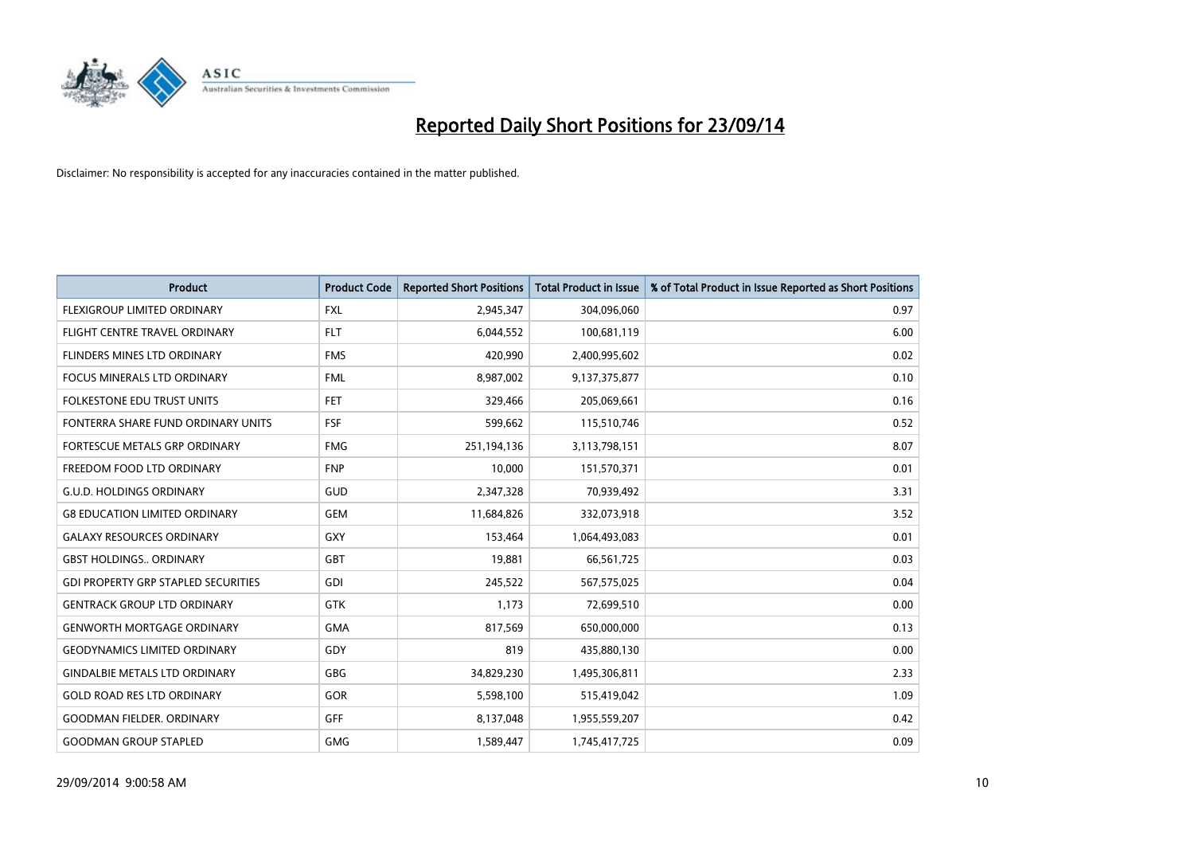

| <b>Product</b>                             | <b>Product Code</b> | <b>Reported Short Positions</b> | <b>Total Product in Issue</b> | % of Total Product in Issue Reported as Short Positions |
|--------------------------------------------|---------------------|---------------------------------|-------------------------------|---------------------------------------------------------|
| FLEXIGROUP LIMITED ORDINARY                | <b>FXL</b>          | 2,945,347                       | 304,096,060                   | 0.97                                                    |
| FLIGHT CENTRE TRAVEL ORDINARY              | <b>FLT</b>          | 6,044,552                       | 100,681,119                   | 6.00                                                    |
| FLINDERS MINES LTD ORDINARY                | <b>FMS</b>          | 420,990                         | 2,400,995,602                 | 0.02                                                    |
| FOCUS MINERALS LTD ORDINARY                | <b>FML</b>          | 8,987,002                       | 9,137,375,877                 | 0.10                                                    |
| <b>FOLKESTONE EDU TRUST UNITS</b>          | <b>FET</b>          | 329,466                         | 205,069,661                   | 0.16                                                    |
| FONTERRA SHARE FUND ORDINARY UNITS         | <b>FSF</b>          | 599,662                         | 115,510,746                   | 0.52                                                    |
| <b>FORTESCUE METALS GRP ORDINARY</b>       | <b>FMG</b>          | 251,194,136                     | 3,113,798,151                 | 8.07                                                    |
| FREEDOM FOOD LTD ORDINARY                  | <b>FNP</b>          | 10,000                          | 151,570,371                   | 0.01                                                    |
| <b>G.U.D. HOLDINGS ORDINARY</b>            | GUD                 | 2,347,328                       | 70,939,492                    | 3.31                                                    |
| <b>G8 EDUCATION LIMITED ORDINARY</b>       | <b>GEM</b>          | 11,684,826                      | 332,073,918                   | 3.52                                                    |
| <b>GALAXY RESOURCES ORDINARY</b>           | GXY                 | 153,464                         | 1,064,493,083                 | 0.01                                                    |
| <b>GBST HOLDINGS ORDINARY</b>              | GBT                 | 19,881                          | 66,561,725                    | 0.03                                                    |
| <b>GDI PROPERTY GRP STAPLED SECURITIES</b> | GDI                 | 245,522                         | 567,575,025                   | 0.04                                                    |
| <b>GENTRACK GROUP LTD ORDINARY</b>         | <b>GTK</b>          | 1,173                           | 72,699,510                    | 0.00                                                    |
| <b>GENWORTH MORTGAGE ORDINARY</b>          | <b>GMA</b>          | 817,569                         | 650,000,000                   | 0.13                                                    |
| <b>GEODYNAMICS LIMITED ORDINARY</b>        | GDY                 | 819                             | 435,880,130                   | 0.00                                                    |
| <b>GINDALBIE METALS LTD ORDINARY</b>       | GBG                 | 34,829,230                      | 1,495,306,811                 | 2.33                                                    |
| <b>GOLD ROAD RES LTD ORDINARY</b>          | GOR                 | 5,598,100                       | 515,419,042                   | 1.09                                                    |
| <b>GOODMAN FIELDER, ORDINARY</b>           | GFF                 | 8,137,048                       | 1,955,559,207                 | 0.42                                                    |
| <b>GOODMAN GROUP STAPLED</b>               | <b>GMG</b>          | 1,589,447                       | 1,745,417,725                 | 0.09                                                    |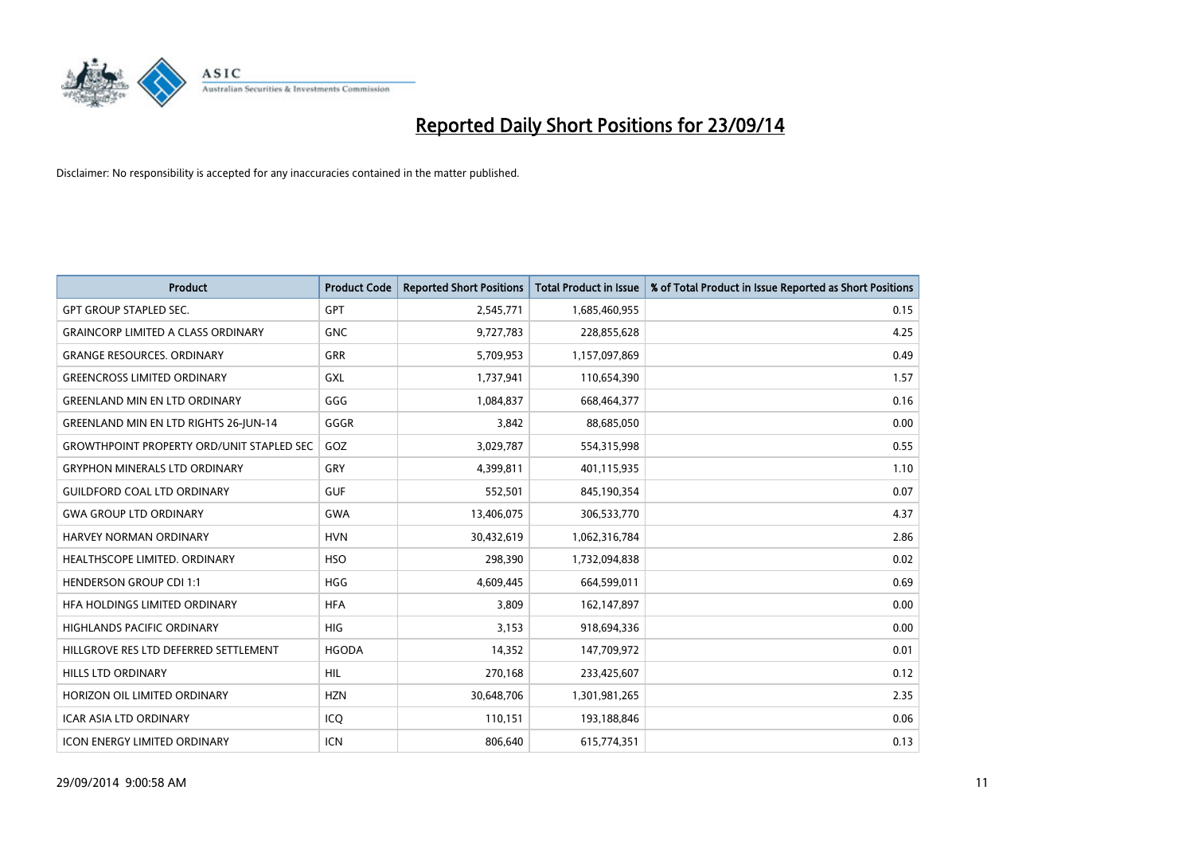

| <b>Product</b>                                   | <b>Product Code</b> | <b>Reported Short Positions</b> | <b>Total Product in Issue</b> | % of Total Product in Issue Reported as Short Positions |
|--------------------------------------------------|---------------------|---------------------------------|-------------------------------|---------------------------------------------------------|
| <b>GPT GROUP STAPLED SEC.</b>                    | GPT                 | 2,545,771                       | 1,685,460,955                 | 0.15                                                    |
| <b>GRAINCORP LIMITED A CLASS ORDINARY</b>        | <b>GNC</b>          | 9,727,783                       | 228,855,628                   | 4.25                                                    |
| <b>GRANGE RESOURCES. ORDINARY</b>                | <b>GRR</b>          | 5,709,953                       | 1,157,097,869                 | 0.49                                                    |
| <b>GREENCROSS LIMITED ORDINARY</b>               | <b>GXL</b>          | 1,737,941                       | 110,654,390                   | 1.57                                                    |
| <b>GREENLAND MIN EN LTD ORDINARY</b>             | GGG                 | 1,084,837                       | 668,464,377                   | 0.16                                                    |
| <b>GREENLAND MIN EN LTD RIGHTS 26-JUN-14</b>     | GGGR                | 3,842                           | 88,685,050                    | 0.00                                                    |
| <b>GROWTHPOINT PROPERTY ORD/UNIT STAPLED SEC</b> | GOZ                 | 3,029,787                       | 554,315,998                   | 0.55                                                    |
| <b>GRYPHON MINERALS LTD ORDINARY</b>             | GRY                 | 4,399,811                       | 401,115,935                   | 1.10                                                    |
| <b>GUILDFORD COAL LTD ORDINARY</b>               | <b>GUF</b>          | 552,501                         | 845,190,354                   | 0.07                                                    |
| <b>GWA GROUP LTD ORDINARY</b>                    | <b>GWA</b>          | 13,406,075                      | 306,533,770                   | 4.37                                                    |
| HARVEY NORMAN ORDINARY                           | <b>HVN</b>          | 30,432,619                      | 1,062,316,784                 | 2.86                                                    |
| HEALTHSCOPE LIMITED. ORDINARY                    | <b>HSO</b>          | 298,390                         | 1,732,094,838                 | 0.02                                                    |
| <b>HENDERSON GROUP CDI 1:1</b>                   | <b>HGG</b>          | 4,609,445                       | 664,599,011                   | 0.69                                                    |
| HEA HOLDINGS LIMITED ORDINARY                    | <b>HFA</b>          | 3,809                           | 162,147,897                   | 0.00                                                    |
| <b>HIGHLANDS PACIFIC ORDINARY</b>                | <b>HIG</b>          | 3,153                           | 918,694,336                   | 0.00                                                    |
| HILLGROVE RES LTD DEFERRED SETTLEMENT            | <b>HGODA</b>        | 14,352                          | 147,709,972                   | 0.01                                                    |
| <b>HILLS LTD ORDINARY</b>                        | <b>HIL</b>          | 270,168                         | 233,425,607                   | 0.12                                                    |
| HORIZON OIL LIMITED ORDINARY                     | <b>HZN</b>          | 30,648,706                      | 1,301,981,265                 | 2.35                                                    |
| <b>ICAR ASIA LTD ORDINARY</b>                    | ICQ                 | 110,151                         | 193,188,846                   | 0.06                                                    |
| <b>ICON ENERGY LIMITED ORDINARY</b>              | <b>ICN</b>          | 806,640                         | 615,774,351                   | 0.13                                                    |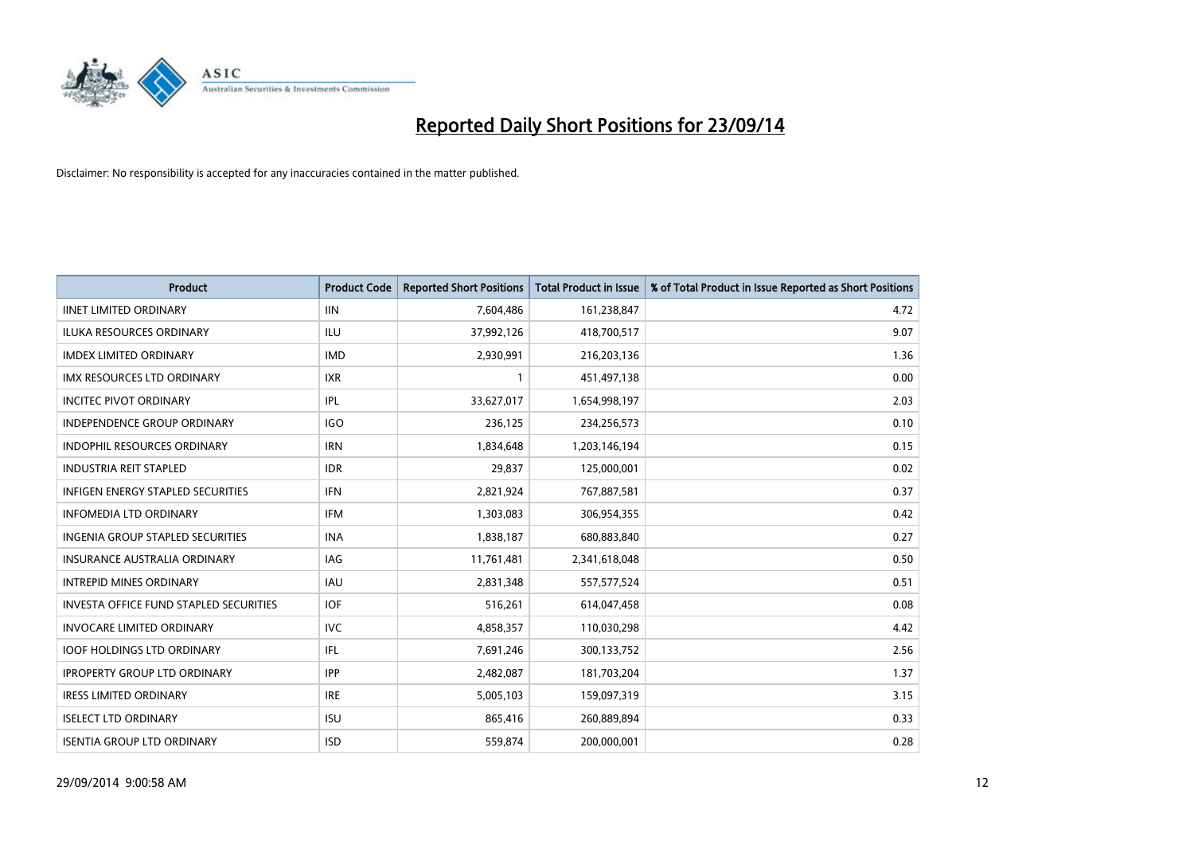

| <b>Product</b>                                | <b>Product Code</b> | <b>Reported Short Positions</b> | <b>Total Product in Issue</b> | % of Total Product in Issue Reported as Short Positions |
|-----------------------------------------------|---------------------|---------------------------------|-------------------------------|---------------------------------------------------------|
| <b>IINET LIMITED ORDINARY</b>                 | <b>IIN</b>          | 7,604,486                       | 161,238,847                   | 4.72                                                    |
| ILUKA RESOURCES ORDINARY                      | ILU                 | 37,992,126                      | 418,700,517                   | 9.07                                                    |
| <b>IMDEX LIMITED ORDINARY</b>                 | <b>IMD</b>          | 2,930,991                       | 216,203,136                   | 1.36                                                    |
| IMX RESOURCES LTD ORDINARY                    | <b>IXR</b>          | 1                               | 451,497,138                   | 0.00                                                    |
| <b>INCITEC PIVOT ORDINARY</b>                 | IPL                 | 33,627,017                      | 1,654,998,197                 | 2.03                                                    |
| <b>INDEPENDENCE GROUP ORDINARY</b>            | <b>IGO</b>          | 236,125                         | 234,256,573                   | 0.10                                                    |
| <b>INDOPHIL RESOURCES ORDINARY</b>            | <b>IRN</b>          | 1,834,648                       | 1,203,146,194                 | 0.15                                                    |
| <b>INDUSTRIA REIT STAPLED</b>                 | <b>IDR</b>          | 29,837                          | 125,000,001                   | 0.02                                                    |
| <b>INFIGEN ENERGY STAPLED SECURITIES</b>      | <b>IFN</b>          | 2,821,924                       | 767,887,581                   | 0.37                                                    |
| <b>INFOMEDIA LTD ORDINARY</b>                 | <b>IFM</b>          | 1,303,083                       | 306,954,355                   | 0.42                                                    |
| INGENIA GROUP STAPLED SECURITIES              | <b>INA</b>          | 1,838,187                       | 680,883,840                   | 0.27                                                    |
| <b>INSURANCE AUSTRALIA ORDINARY</b>           | IAG                 | 11,761,481                      | 2,341,618,048                 | 0.50                                                    |
| <b>INTREPID MINES ORDINARY</b>                | <b>IAU</b>          | 2,831,348                       | 557,577,524                   | 0.51                                                    |
| <b>INVESTA OFFICE FUND STAPLED SECURITIES</b> | <b>IOF</b>          | 516,261                         | 614,047,458                   | 0.08                                                    |
| <b>INVOCARE LIMITED ORDINARY</b>              | <b>IVC</b>          | 4,858,357                       | 110,030,298                   | 4.42                                                    |
| <b>IOOF HOLDINGS LTD ORDINARY</b>             | IFL                 | 7,691,246                       | 300,133,752                   | 2.56                                                    |
| <b>IPROPERTY GROUP LTD ORDINARY</b>           | <b>IPP</b>          | 2,482,087                       | 181,703,204                   | 1.37                                                    |
| <b>IRESS LIMITED ORDINARY</b>                 | <b>IRE</b>          | 5,005,103                       | 159,097,319                   | 3.15                                                    |
| <b>ISELECT LTD ORDINARY</b>                   | <b>ISU</b>          | 865,416                         | 260,889,894                   | 0.33                                                    |
| <b>ISENTIA GROUP LTD ORDINARY</b>             | <b>ISD</b>          | 559,874                         | 200,000,001                   | 0.28                                                    |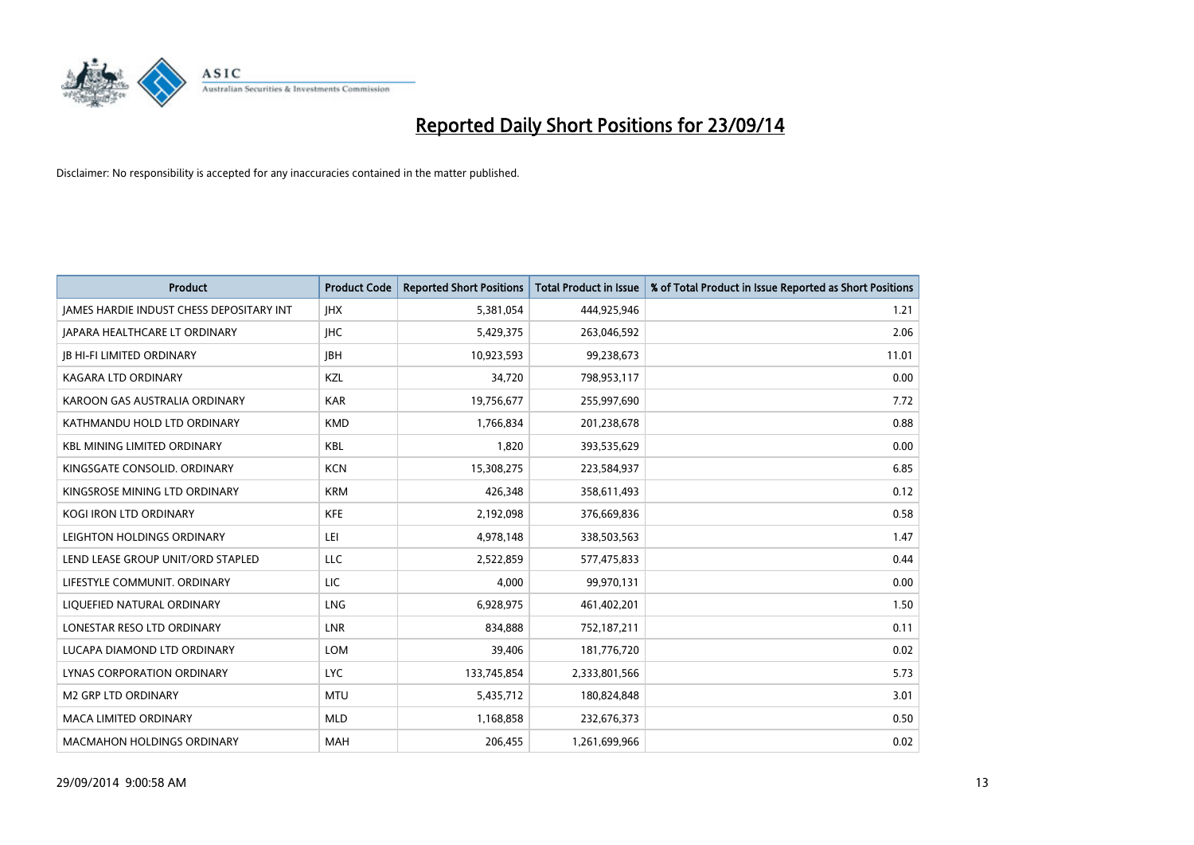

| <b>Product</b>                                  | <b>Product Code</b> | <b>Reported Short Positions</b> | <b>Total Product in Issue</b> | % of Total Product in Issue Reported as Short Positions |
|-------------------------------------------------|---------------------|---------------------------------|-------------------------------|---------------------------------------------------------|
| <b>IAMES HARDIE INDUST CHESS DEPOSITARY INT</b> | <b>IHX</b>          | 5,381,054                       | 444,925,946                   | 1.21                                                    |
| JAPARA HEALTHCARE LT ORDINARY                   | <b>IHC</b>          | 5,429,375                       | 263,046,592                   | 2.06                                                    |
| <b>IB HI-FI LIMITED ORDINARY</b>                | <b>IBH</b>          | 10,923,593                      | 99,238,673                    | 11.01                                                   |
| <b>KAGARA LTD ORDINARY</b>                      | KZL                 | 34,720                          | 798,953,117                   | 0.00                                                    |
| KAROON GAS AUSTRALIA ORDINARY                   | <b>KAR</b>          | 19,756,677                      | 255,997,690                   | 7.72                                                    |
| KATHMANDU HOLD LTD ORDINARY                     | <b>KMD</b>          | 1,766,834                       | 201,238,678                   | 0.88                                                    |
| <b>KBL MINING LIMITED ORDINARY</b>              | KBL                 | 1,820                           | 393,535,629                   | 0.00                                                    |
| KINGSGATE CONSOLID. ORDINARY                    | <b>KCN</b>          | 15,308,275                      | 223,584,937                   | 6.85                                                    |
| KINGSROSE MINING LTD ORDINARY                   | <b>KRM</b>          | 426,348                         | 358,611,493                   | 0.12                                                    |
| <b>KOGI IRON LTD ORDINARY</b>                   | <b>KFE</b>          | 2,192,098                       | 376,669,836                   | 0.58                                                    |
| LEIGHTON HOLDINGS ORDINARY                      | LEI                 | 4,978,148                       | 338,503,563                   | 1.47                                                    |
| LEND LEASE GROUP UNIT/ORD STAPLED               | LLC                 | 2,522,859                       | 577,475,833                   | 0.44                                                    |
| LIFESTYLE COMMUNIT, ORDINARY                    | LIC                 | 4,000                           | 99,970,131                    | 0.00                                                    |
| LIQUEFIED NATURAL ORDINARY                      | LNG                 | 6,928,975                       | 461,402,201                   | 1.50                                                    |
| LONESTAR RESO LTD ORDINARY                      | LNR                 | 834,888                         | 752,187,211                   | 0.11                                                    |
| LUCAPA DIAMOND LTD ORDINARY                     | LOM                 | 39,406                          | 181,776,720                   | 0.02                                                    |
| LYNAS CORPORATION ORDINARY                      | LYC                 | 133,745,854                     | 2,333,801,566                 | 5.73                                                    |
| <b>M2 GRP LTD ORDINARY</b>                      | <b>MTU</b>          | 5,435,712                       | 180,824,848                   | 3.01                                                    |
| <b>MACA LIMITED ORDINARY</b>                    | <b>MLD</b>          | 1,168,858                       | 232,676,373                   | 0.50                                                    |
| <b>MACMAHON HOLDINGS ORDINARY</b>               | <b>MAH</b>          | 206,455                         | 1,261,699,966                 | 0.02                                                    |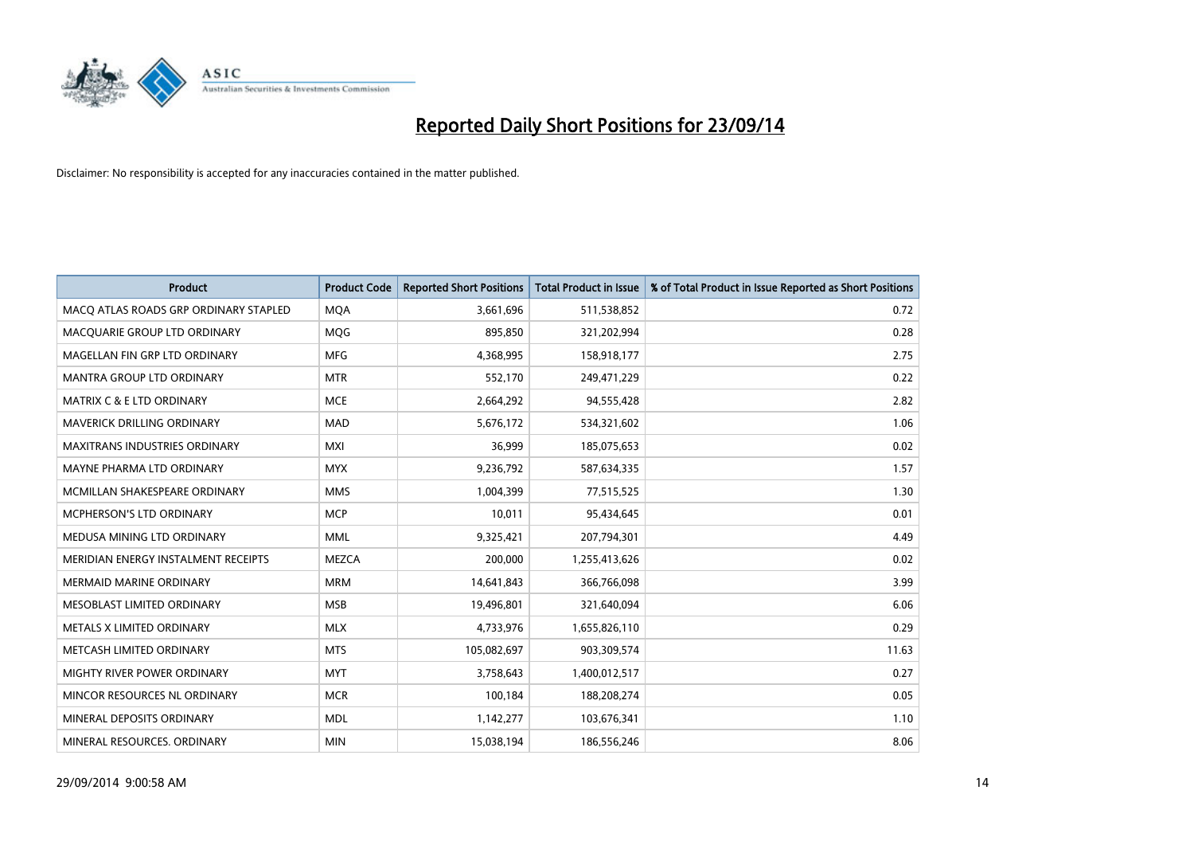

| <b>Product</b>                        | <b>Product Code</b> | <b>Reported Short Positions</b> | <b>Total Product in Issue</b> | % of Total Product in Issue Reported as Short Positions |
|---------------------------------------|---------------------|---------------------------------|-------------------------------|---------------------------------------------------------|
| MACO ATLAS ROADS GRP ORDINARY STAPLED | <b>MQA</b>          | 3,661,696                       | 511,538,852                   | 0.72                                                    |
| MACQUARIE GROUP LTD ORDINARY          | <b>MOG</b>          | 895,850                         | 321,202,994                   | 0.28                                                    |
| MAGELLAN FIN GRP LTD ORDINARY         | <b>MFG</b>          | 4,368,995                       | 158,918,177                   | 2.75                                                    |
| MANTRA GROUP LTD ORDINARY             | <b>MTR</b>          | 552,170                         | 249,471,229                   | 0.22                                                    |
| <b>MATRIX C &amp; E LTD ORDINARY</b>  | <b>MCE</b>          | 2,664,292                       | 94,555,428                    | 2.82                                                    |
| <b>MAVERICK DRILLING ORDINARY</b>     | <b>MAD</b>          | 5,676,172                       | 534,321,602                   | 1.06                                                    |
| <b>MAXITRANS INDUSTRIES ORDINARY</b>  | <b>MXI</b>          | 36,999                          | 185,075,653                   | 0.02                                                    |
| MAYNE PHARMA LTD ORDINARY             | <b>MYX</b>          | 9,236,792                       | 587,634,335                   | 1.57                                                    |
| MCMILLAN SHAKESPEARE ORDINARY         | <b>MMS</b>          | 1,004,399                       | 77,515,525                    | 1.30                                                    |
| <b>MCPHERSON'S LTD ORDINARY</b>       | <b>MCP</b>          | 10,011                          | 95,434,645                    | 0.01                                                    |
| MEDUSA MINING LTD ORDINARY            | <b>MML</b>          | 9,325,421                       | 207,794,301                   | 4.49                                                    |
| MERIDIAN ENERGY INSTALMENT RECEIPTS   | <b>MEZCA</b>        | 200,000                         | 1,255,413,626                 | 0.02                                                    |
| <b>MERMAID MARINE ORDINARY</b>        | <b>MRM</b>          | 14,641,843                      | 366,766,098                   | 3.99                                                    |
| MESOBLAST LIMITED ORDINARY            | <b>MSB</b>          | 19,496,801                      | 321,640,094                   | 6.06                                                    |
| METALS X LIMITED ORDINARY             | <b>MLX</b>          | 4,733,976                       | 1,655,826,110                 | 0.29                                                    |
| METCASH LIMITED ORDINARY              | <b>MTS</b>          | 105,082,697                     | 903,309,574                   | 11.63                                                   |
| MIGHTY RIVER POWER ORDINARY           | <b>MYT</b>          | 3,758,643                       | 1,400,012,517                 | 0.27                                                    |
| MINCOR RESOURCES NL ORDINARY          | <b>MCR</b>          | 100,184                         | 188,208,274                   | 0.05                                                    |
| MINERAL DEPOSITS ORDINARY             | <b>MDL</b>          | 1,142,277                       | 103,676,341                   | 1.10                                                    |
| MINERAL RESOURCES. ORDINARY           | <b>MIN</b>          | 15,038,194                      | 186,556,246                   | 8.06                                                    |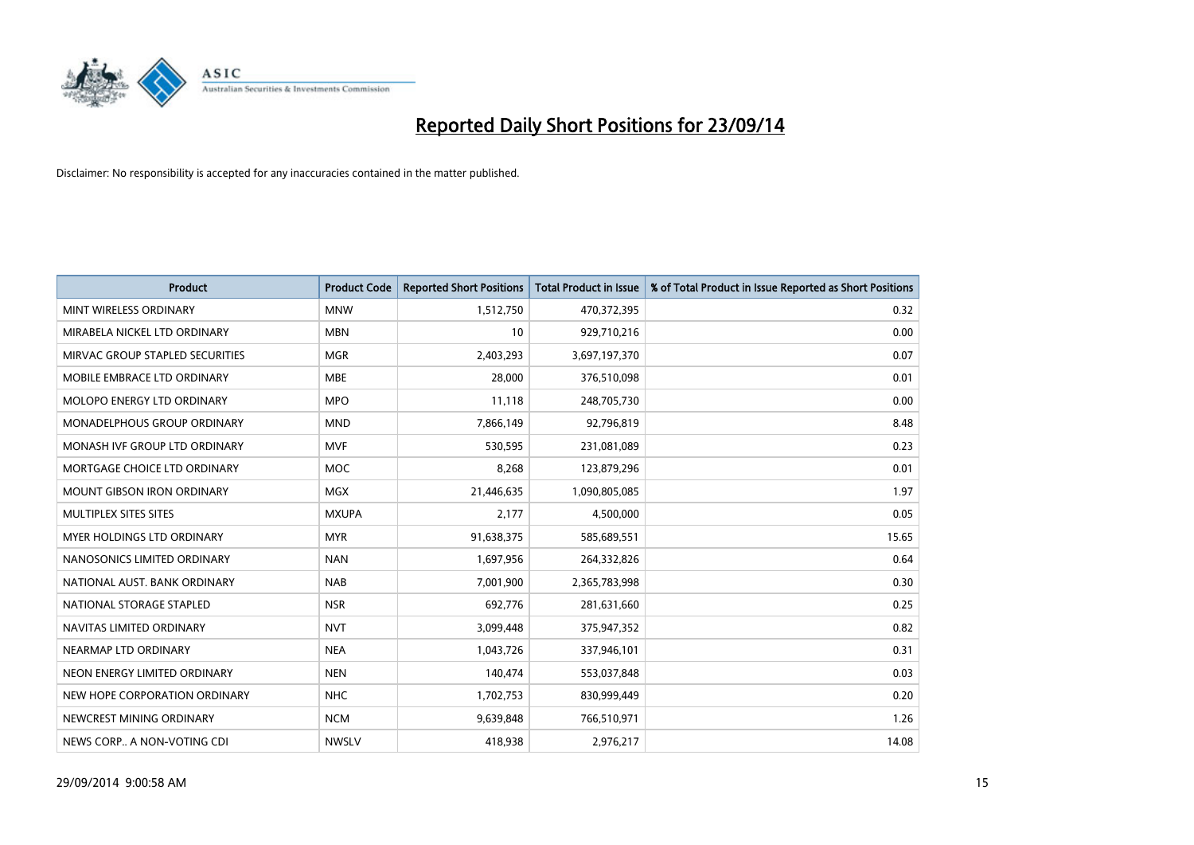

| <b>Product</b>                    | <b>Product Code</b> | <b>Reported Short Positions</b> | <b>Total Product in Issue</b> | % of Total Product in Issue Reported as Short Positions |
|-----------------------------------|---------------------|---------------------------------|-------------------------------|---------------------------------------------------------|
| MINT WIRELESS ORDINARY            | <b>MNW</b>          | 1,512,750                       | 470,372,395                   | 0.32                                                    |
| MIRABELA NICKEL LTD ORDINARY      | <b>MBN</b>          | 10                              | 929,710,216                   | 0.00                                                    |
| MIRVAC GROUP STAPLED SECURITIES   | <b>MGR</b>          | 2,403,293                       | 3,697,197,370                 | 0.07                                                    |
| MOBILE EMBRACE LTD ORDINARY       | <b>MBE</b>          | 28,000                          | 376,510,098                   | 0.01                                                    |
| MOLOPO ENERGY LTD ORDINARY        | <b>MPO</b>          | 11,118                          | 248,705,730                   | 0.00                                                    |
| MONADELPHOUS GROUP ORDINARY       | <b>MND</b>          | 7,866,149                       | 92,796,819                    | 8.48                                                    |
| MONASH IVF GROUP LTD ORDINARY     | <b>MVF</b>          | 530,595                         | 231,081,089                   | 0.23                                                    |
| MORTGAGE CHOICE LTD ORDINARY      | MOC                 | 8,268                           | 123,879,296                   | 0.01                                                    |
| <b>MOUNT GIBSON IRON ORDINARY</b> | <b>MGX</b>          | 21,446,635                      | 1,090,805,085                 | 1.97                                                    |
| MULTIPLEX SITES SITES             | <b>MXUPA</b>        | 2,177                           | 4,500,000                     | 0.05                                                    |
| MYER HOLDINGS LTD ORDINARY        | <b>MYR</b>          | 91,638,375                      | 585,689,551                   | 15.65                                                   |
| NANOSONICS LIMITED ORDINARY       | <b>NAN</b>          | 1,697,956                       | 264,332,826                   | 0.64                                                    |
| NATIONAL AUST. BANK ORDINARY      | <b>NAB</b>          | 7,001,900                       | 2,365,783,998                 | 0.30                                                    |
| NATIONAL STORAGE STAPLED          | <b>NSR</b>          | 692,776                         | 281,631,660                   | 0.25                                                    |
| NAVITAS LIMITED ORDINARY          | <b>NVT</b>          | 3,099,448                       | 375,947,352                   | 0.82                                                    |
| NEARMAP LTD ORDINARY              | <b>NEA</b>          | 1,043,726                       | 337,946,101                   | 0.31                                                    |
| NEON ENERGY LIMITED ORDINARY      | <b>NEN</b>          | 140,474                         | 553,037,848                   | 0.03                                                    |
| NEW HOPE CORPORATION ORDINARY     | <b>NHC</b>          | 1,702,753                       | 830,999,449                   | 0.20                                                    |
| NEWCREST MINING ORDINARY          | <b>NCM</b>          | 9,639,848                       | 766,510,971                   | 1.26                                                    |
| NEWS CORP A NON-VOTING CDI        | <b>NWSLV</b>        | 418,938                         | 2,976,217                     | 14.08                                                   |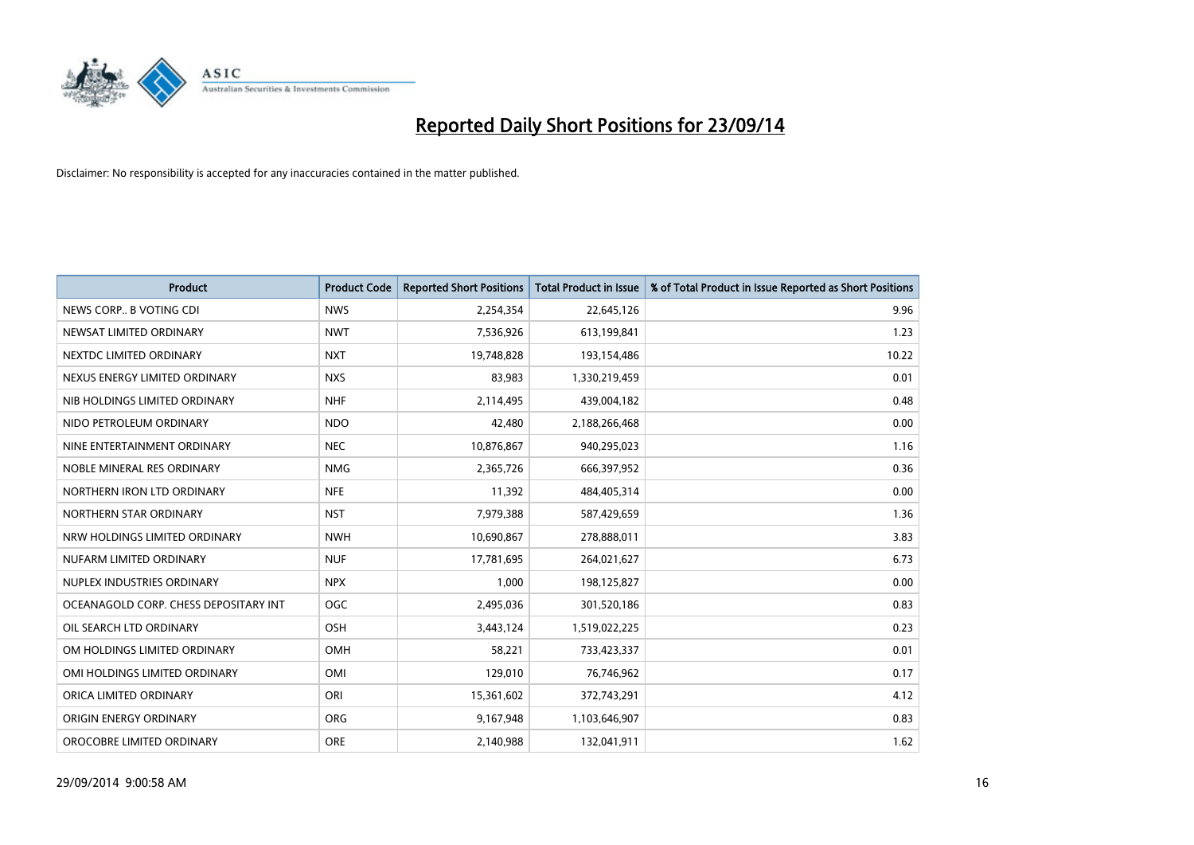

| <b>Product</b>                        | <b>Product Code</b> | <b>Reported Short Positions</b> | <b>Total Product in Issue</b> | % of Total Product in Issue Reported as Short Positions |
|---------------------------------------|---------------------|---------------------------------|-------------------------------|---------------------------------------------------------|
| NEWS CORP B VOTING CDI                | <b>NWS</b>          | 2,254,354                       | 22,645,126                    | 9.96                                                    |
| NEWSAT LIMITED ORDINARY               | <b>NWT</b>          | 7,536,926                       | 613,199,841                   | 1.23                                                    |
| NEXTDC LIMITED ORDINARY               | <b>NXT</b>          | 19,748,828                      | 193,154,486                   | 10.22                                                   |
| NEXUS ENERGY LIMITED ORDINARY         | <b>NXS</b>          | 83,983                          | 1,330,219,459                 | 0.01                                                    |
| NIB HOLDINGS LIMITED ORDINARY         | <b>NHF</b>          | 2,114,495                       | 439,004,182                   | 0.48                                                    |
| NIDO PETROLEUM ORDINARY               | <b>NDO</b>          | 42,480                          | 2,188,266,468                 | 0.00                                                    |
| NINE ENTERTAINMENT ORDINARY           | <b>NEC</b>          | 10,876,867                      | 940,295,023                   | 1.16                                                    |
| NOBLE MINERAL RES ORDINARY            | <b>NMG</b>          | 2,365,726                       | 666,397,952                   | 0.36                                                    |
| NORTHERN IRON LTD ORDINARY            | <b>NFE</b>          | 11,392                          | 484,405,314                   | 0.00                                                    |
| NORTHERN STAR ORDINARY                | <b>NST</b>          | 7,979,388                       | 587,429,659                   | 1.36                                                    |
| NRW HOLDINGS LIMITED ORDINARY         | <b>NWH</b>          | 10,690,867                      | 278,888,011                   | 3.83                                                    |
| NUFARM LIMITED ORDINARY               | <b>NUF</b>          | 17,781,695                      | 264,021,627                   | 6.73                                                    |
| NUPLEX INDUSTRIES ORDINARY            | <b>NPX</b>          | 1,000                           | 198,125,827                   | 0.00                                                    |
| OCEANAGOLD CORP. CHESS DEPOSITARY INT | <b>OGC</b>          | 2,495,036                       | 301,520,186                   | 0.83                                                    |
| OIL SEARCH LTD ORDINARY               | OSH                 | 3,443,124                       | 1,519,022,225                 | 0.23                                                    |
| OM HOLDINGS LIMITED ORDINARY          | OMH                 | 58,221                          | 733,423,337                   | 0.01                                                    |
| OMI HOLDINGS LIMITED ORDINARY         | OMI                 | 129,010                         | 76,746,962                    | 0.17                                                    |
| ORICA LIMITED ORDINARY                | ORI                 | 15,361,602                      | 372,743,291                   | 4.12                                                    |
| ORIGIN ENERGY ORDINARY                | <b>ORG</b>          | 9,167,948                       | 1,103,646,907                 | 0.83                                                    |
| OROCOBRE LIMITED ORDINARY             | <b>ORE</b>          | 2,140,988                       | 132,041,911                   | 1.62                                                    |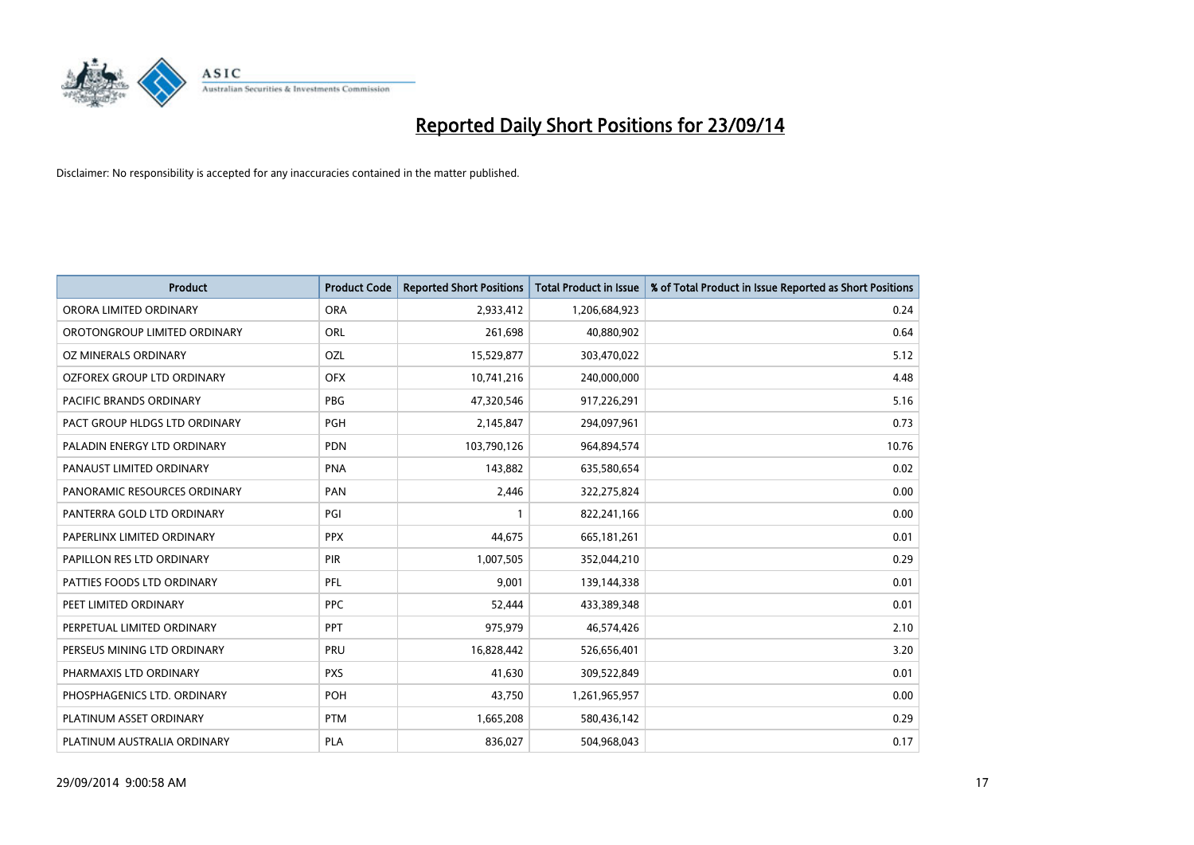

| <b>Product</b>                 | <b>Product Code</b> | <b>Reported Short Positions</b> | <b>Total Product in Issue</b> | % of Total Product in Issue Reported as Short Positions |
|--------------------------------|---------------------|---------------------------------|-------------------------------|---------------------------------------------------------|
| ORORA LIMITED ORDINARY         | <b>ORA</b>          | 2,933,412                       | 1,206,684,923                 | 0.24                                                    |
| OROTONGROUP LIMITED ORDINARY   | ORL                 | 261,698                         | 40,880,902                    | 0.64                                                    |
| OZ MINERALS ORDINARY           | OZL                 | 15,529,877                      | 303,470,022                   | 5.12                                                    |
| OZFOREX GROUP LTD ORDINARY     | <b>OFX</b>          | 10,741,216                      | 240,000,000                   | 4.48                                                    |
| <b>PACIFIC BRANDS ORDINARY</b> | PBG                 | 47,320,546                      | 917,226,291                   | 5.16                                                    |
| PACT GROUP HLDGS LTD ORDINARY  | PGH                 | 2,145,847                       | 294,097,961                   | 0.73                                                    |
| PALADIN ENERGY LTD ORDINARY    | <b>PDN</b>          | 103,790,126                     | 964,894,574                   | 10.76                                                   |
| PANAUST LIMITED ORDINARY       | <b>PNA</b>          | 143,882                         | 635,580,654                   | 0.02                                                    |
| PANORAMIC RESOURCES ORDINARY   | PAN                 | 2,446                           | 322,275,824                   | 0.00                                                    |
| PANTERRA GOLD LTD ORDINARY     | PGI                 | $\mathbf{1}$                    | 822,241,166                   | 0.00                                                    |
| PAPERLINX LIMITED ORDINARY     | <b>PPX</b>          | 44,675                          | 665, 181, 261                 | 0.01                                                    |
| PAPILLON RES LTD ORDINARY      | <b>PIR</b>          | 1,007,505                       | 352,044,210                   | 0.29                                                    |
| PATTIES FOODS LTD ORDINARY     | PFL                 | 9,001                           | 139,144,338                   | 0.01                                                    |
| PEET LIMITED ORDINARY          | <b>PPC</b>          | 52,444                          | 433,389,348                   | 0.01                                                    |
| PERPETUAL LIMITED ORDINARY     | <b>PPT</b>          | 975,979                         | 46,574,426                    | 2.10                                                    |
| PERSEUS MINING LTD ORDINARY    | PRU                 | 16,828,442                      | 526,656,401                   | 3.20                                                    |
| PHARMAXIS LTD ORDINARY         | <b>PXS</b>          | 41,630                          | 309,522,849                   | 0.01                                                    |
| PHOSPHAGENICS LTD. ORDINARY    | POH                 | 43,750                          | 1,261,965,957                 | 0.00                                                    |
| PLATINUM ASSET ORDINARY        | <b>PTM</b>          | 1,665,208                       | 580,436,142                   | 0.29                                                    |
| PLATINUM AUSTRALIA ORDINARY    | PLA                 | 836,027                         | 504,968,043                   | 0.17                                                    |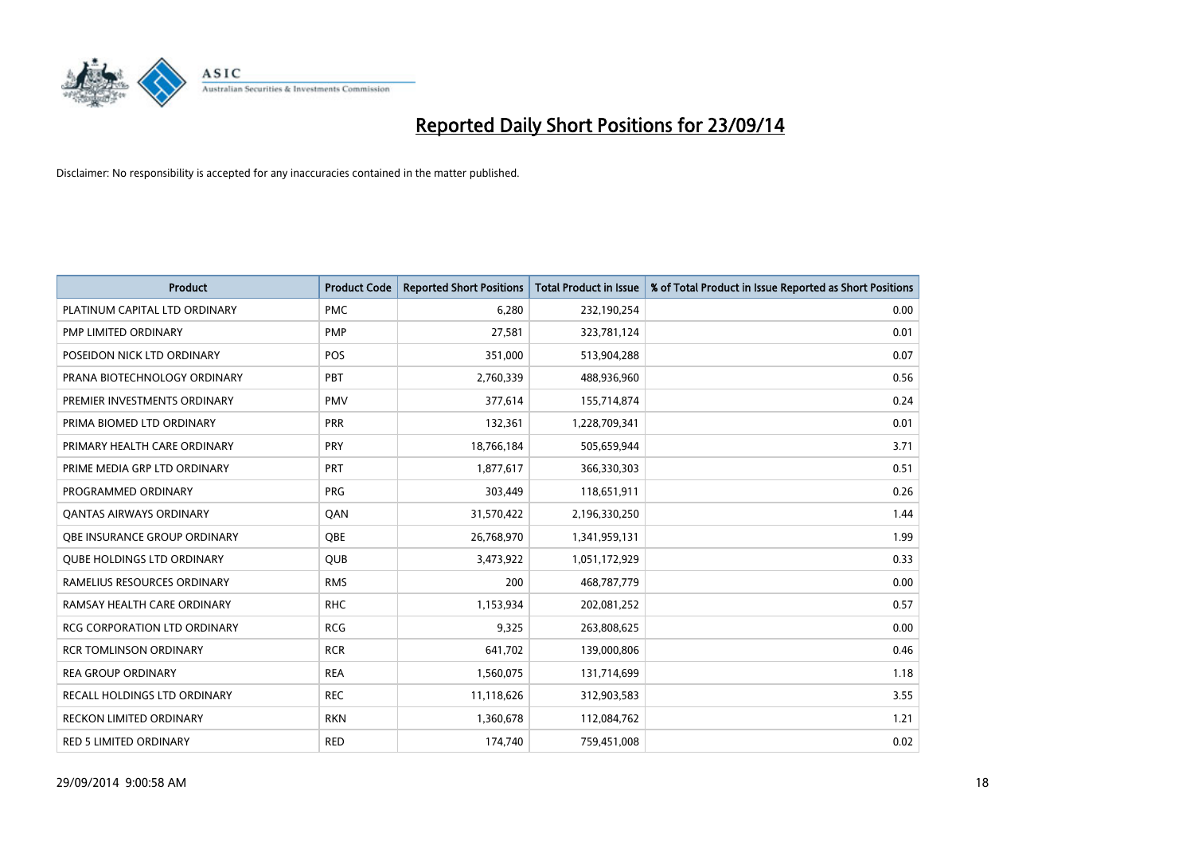

| <b>Product</b>                      | <b>Product Code</b> | <b>Reported Short Positions</b> | <b>Total Product in Issue</b> | % of Total Product in Issue Reported as Short Positions |
|-------------------------------------|---------------------|---------------------------------|-------------------------------|---------------------------------------------------------|
| PLATINUM CAPITAL LTD ORDINARY       | <b>PMC</b>          | 6,280                           | 232,190,254                   | 0.00                                                    |
| PMP LIMITED ORDINARY                | <b>PMP</b>          | 27,581                          | 323,781,124                   | 0.01                                                    |
| POSEIDON NICK LTD ORDINARY          | <b>POS</b>          | 351,000                         | 513,904,288                   | 0.07                                                    |
| PRANA BIOTECHNOLOGY ORDINARY        | PBT                 | 2,760,339                       | 488,936,960                   | 0.56                                                    |
| PREMIER INVESTMENTS ORDINARY        | <b>PMV</b>          | 377,614                         | 155,714,874                   | 0.24                                                    |
| PRIMA BIOMED LTD ORDINARY           | <b>PRR</b>          | 132,361                         | 1,228,709,341                 | 0.01                                                    |
| PRIMARY HEALTH CARE ORDINARY        | <b>PRY</b>          | 18,766,184                      | 505,659,944                   | 3.71                                                    |
| PRIME MEDIA GRP LTD ORDINARY        | <b>PRT</b>          | 1,877,617                       | 366,330,303                   | 0.51                                                    |
| PROGRAMMED ORDINARY                 | <b>PRG</b>          | 303,449                         | 118,651,911                   | 0.26                                                    |
| <b>QANTAS AIRWAYS ORDINARY</b>      | QAN                 | 31,570,422                      | 2,196,330,250                 | 1.44                                                    |
| OBE INSURANCE GROUP ORDINARY        | <b>OBE</b>          | 26,768,970                      | 1,341,959,131                 | 1.99                                                    |
| <b>QUBE HOLDINGS LTD ORDINARY</b>   | QUB                 | 3,473,922                       | 1,051,172,929                 | 0.33                                                    |
| RAMELIUS RESOURCES ORDINARY         | <b>RMS</b>          | 200                             | 468,787,779                   | 0.00                                                    |
| RAMSAY HEALTH CARE ORDINARY         | <b>RHC</b>          | 1,153,934                       | 202,081,252                   | 0.57                                                    |
| <b>RCG CORPORATION LTD ORDINARY</b> | <b>RCG</b>          | 9,325                           | 263,808,625                   | 0.00                                                    |
| <b>RCR TOMLINSON ORDINARY</b>       | <b>RCR</b>          | 641,702                         | 139,000,806                   | 0.46                                                    |
| <b>REA GROUP ORDINARY</b>           | <b>REA</b>          | 1,560,075                       | 131,714,699                   | 1.18                                                    |
| RECALL HOLDINGS LTD ORDINARY        | <b>REC</b>          | 11,118,626                      | 312,903,583                   | 3.55                                                    |
| <b>RECKON LIMITED ORDINARY</b>      | <b>RKN</b>          | 1,360,678                       | 112,084,762                   | 1.21                                                    |
| RED 5 LIMITED ORDINARY              | <b>RED</b>          | 174,740                         | 759,451,008                   | 0.02                                                    |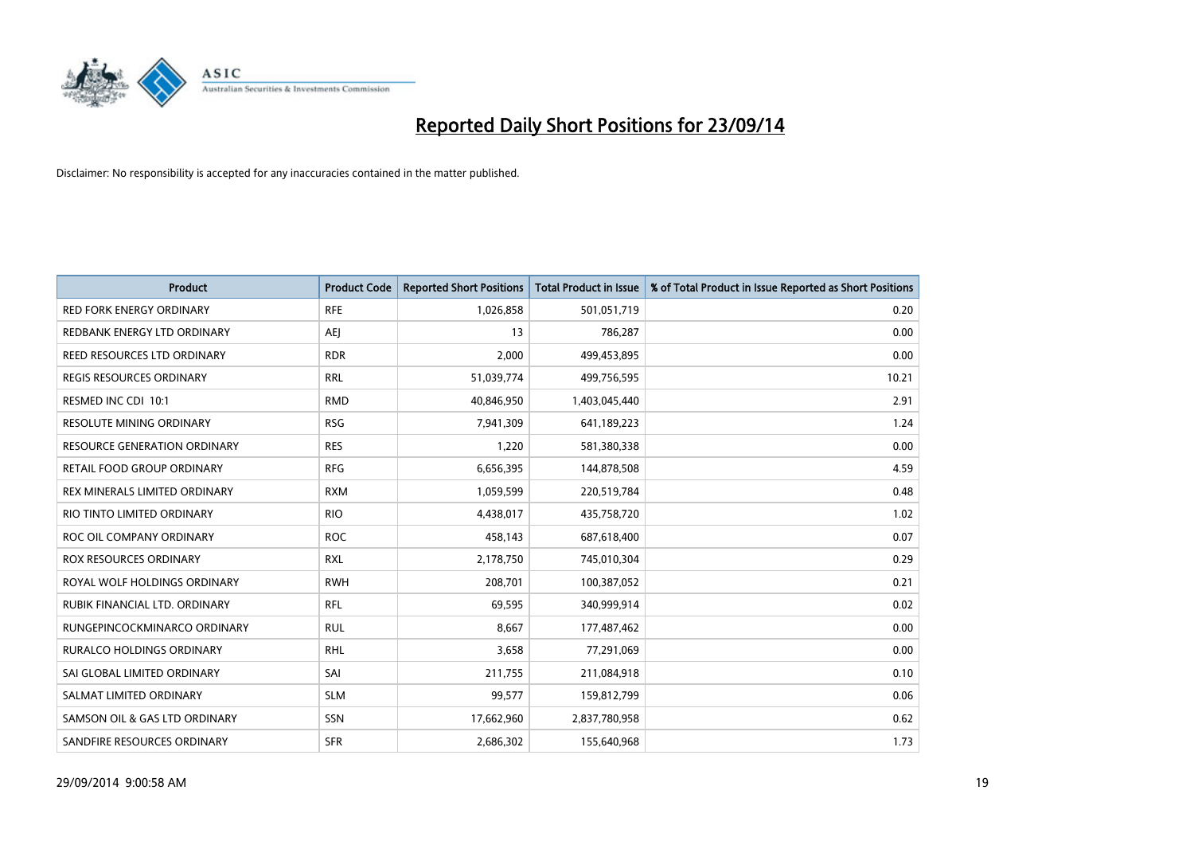

| <b>Product</b>                      | <b>Product Code</b> | <b>Reported Short Positions</b> | <b>Total Product in Issue</b> | % of Total Product in Issue Reported as Short Positions |
|-------------------------------------|---------------------|---------------------------------|-------------------------------|---------------------------------------------------------|
| <b>RED FORK ENERGY ORDINARY</b>     | <b>RFE</b>          | 1,026,858                       | 501,051,719                   | 0.20                                                    |
| REDBANK ENERGY LTD ORDINARY         | AEJ                 | 13                              | 786,287                       | 0.00                                                    |
| REED RESOURCES LTD ORDINARY         | <b>RDR</b>          | 2,000                           | 499,453,895                   | 0.00                                                    |
| REGIS RESOURCES ORDINARY            | <b>RRL</b>          | 51,039,774                      | 499,756,595                   | 10.21                                                   |
| RESMED INC CDI 10:1                 | <b>RMD</b>          | 40,846,950                      | 1,403,045,440                 | 2.91                                                    |
| <b>RESOLUTE MINING ORDINARY</b>     | <b>RSG</b>          | 7,941,309                       | 641,189,223                   | 1.24                                                    |
| <b>RESOURCE GENERATION ORDINARY</b> | <b>RES</b>          | 1,220                           | 581,380,338                   | 0.00                                                    |
| RETAIL FOOD GROUP ORDINARY          | <b>RFG</b>          | 6,656,395                       | 144,878,508                   | 4.59                                                    |
| REX MINERALS LIMITED ORDINARY       | <b>RXM</b>          | 1,059,599                       | 220,519,784                   | 0.48                                                    |
| RIO TINTO LIMITED ORDINARY          | <b>RIO</b>          | 4,438,017                       | 435,758,720                   | 1.02                                                    |
| ROC OIL COMPANY ORDINARY            | <b>ROC</b>          | 458,143                         | 687,618,400                   | 0.07                                                    |
| ROX RESOURCES ORDINARY              | <b>RXL</b>          | 2,178,750                       | 745,010,304                   | 0.29                                                    |
| ROYAL WOLF HOLDINGS ORDINARY        | <b>RWH</b>          | 208,701                         | 100,387,052                   | 0.21                                                    |
| RUBIK FINANCIAL LTD, ORDINARY       | RFL                 | 69,595                          | 340,999,914                   | 0.02                                                    |
| RUNGEPINCOCKMINARCO ORDINARY        | <b>RUL</b>          | 8,667                           | 177,487,462                   | 0.00                                                    |
| RURALCO HOLDINGS ORDINARY           | <b>RHL</b>          | 3,658                           | 77,291,069                    | 0.00                                                    |
| SAI GLOBAL LIMITED ORDINARY         | SAI                 | 211,755                         | 211,084,918                   | 0.10                                                    |
| SALMAT LIMITED ORDINARY             | <b>SLM</b>          | 99,577                          | 159,812,799                   | 0.06                                                    |
| SAMSON OIL & GAS LTD ORDINARY       | SSN                 | 17,662,960                      | 2,837,780,958                 | 0.62                                                    |
| SANDFIRE RESOURCES ORDINARY         | <b>SFR</b>          | 2,686,302                       | 155,640,968                   | 1.73                                                    |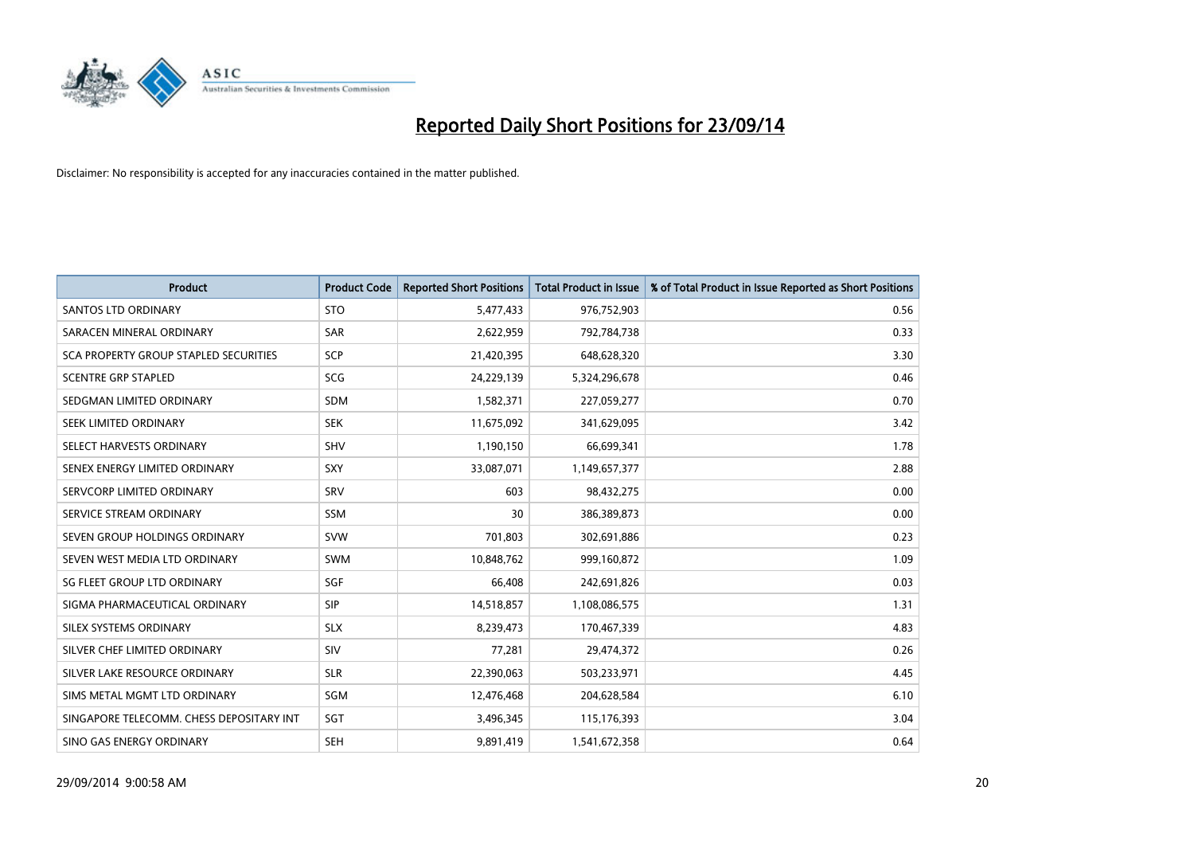

| <b>Product</b>                           | <b>Product Code</b> | <b>Reported Short Positions</b> | <b>Total Product in Issue</b> | % of Total Product in Issue Reported as Short Positions |
|------------------------------------------|---------------------|---------------------------------|-------------------------------|---------------------------------------------------------|
| <b>SANTOS LTD ORDINARY</b>               | <b>STO</b>          | 5,477,433                       | 976,752,903                   | 0.56                                                    |
| SARACEN MINERAL ORDINARY                 | SAR                 | 2,622,959                       | 792,784,738                   | 0.33                                                    |
| SCA PROPERTY GROUP STAPLED SECURITIES    | <b>SCP</b>          | 21,420,395                      | 648,628,320                   | 3.30                                                    |
| <b>SCENTRE GRP STAPLED</b>               | SCG                 | 24,229,139                      | 5,324,296,678                 | 0.46                                                    |
| SEDGMAN LIMITED ORDINARY                 | <b>SDM</b>          | 1,582,371                       | 227,059,277                   | 0.70                                                    |
| SEEK LIMITED ORDINARY                    | <b>SEK</b>          | 11,675,092                      | 341,629,095                   | 3.42                                                    |
| SELECT HARVESTS ORDINARY                 | <b>SHV</b>          | 1,190,150                       | 66,699,341                    | 1.78                                                    |
| SENEX ENERGY LIMITED ORDINARY            | <b>SXY</b>          | 33,087,071                      | 1,149,657,377                 | 2.88                                                    |
| SERVCORP LIMITED ORDINARY                | SRV                 | 603                             | 98,432,275                    | 0.00                                                    |
| SERVICE STREAM ORDINARY                  | <b>SSM</b>          | 30                              | 386,389,873                   | 0.00                                                    |
| SEVEN GROUP HOLDINGS ORDINARY            | <b>SVW</b>          | 701,803                         | 302,691,886                   | 0.23                                                    |
| SEVEN WEST MEDIA LTD ORDINARY            | <b>SWM</b>          | 10,848,762                      | 999,160,872                   | 1.09                                                    |
| SG FLEET GROUP LTD ORDINARY              | SGF                 | 66,408                          | 242,691,826                   | 0.03                                                    |
| SIGMA PHARMACEUTICAL ORDINARY            | <b>SIP</b>          | 14,518,857                      | 1,108,086,575                 | 1.31                                                    |
| SILEX SYSTEMS ORDINARY                   | <b>SLX</b>          | 8,239,473                       | 170,467,339                   | 4.83                                                    |
| SILVER CHEF LIMITED ORDINARY             | SIV                 | 77,281                          | 29,474,372                    | 0.26                                                    |
| SILVER LAKE RESOURCE ORDINARY            | <b>SLR</b>          | 22,390,063                      | 503,233,971                   | 4.45                                                    |
| SIMS METAL MGMT LTD ORDINARY             | SGM                 | 12,476,468                      | 204,628,584                   | 6.10                                                    |
| SINGAPORE TELECOMM. CHESS DEPOSITARY INT | SGT                 | 3,496,345                       | 115,176,393                   | 3.04                                                    |
| SINO GAS ENERGY ORDINARY                 | <b>SEH</b>          | 9,891,419                       | 1,541,672,358                 | 0.64                                                    |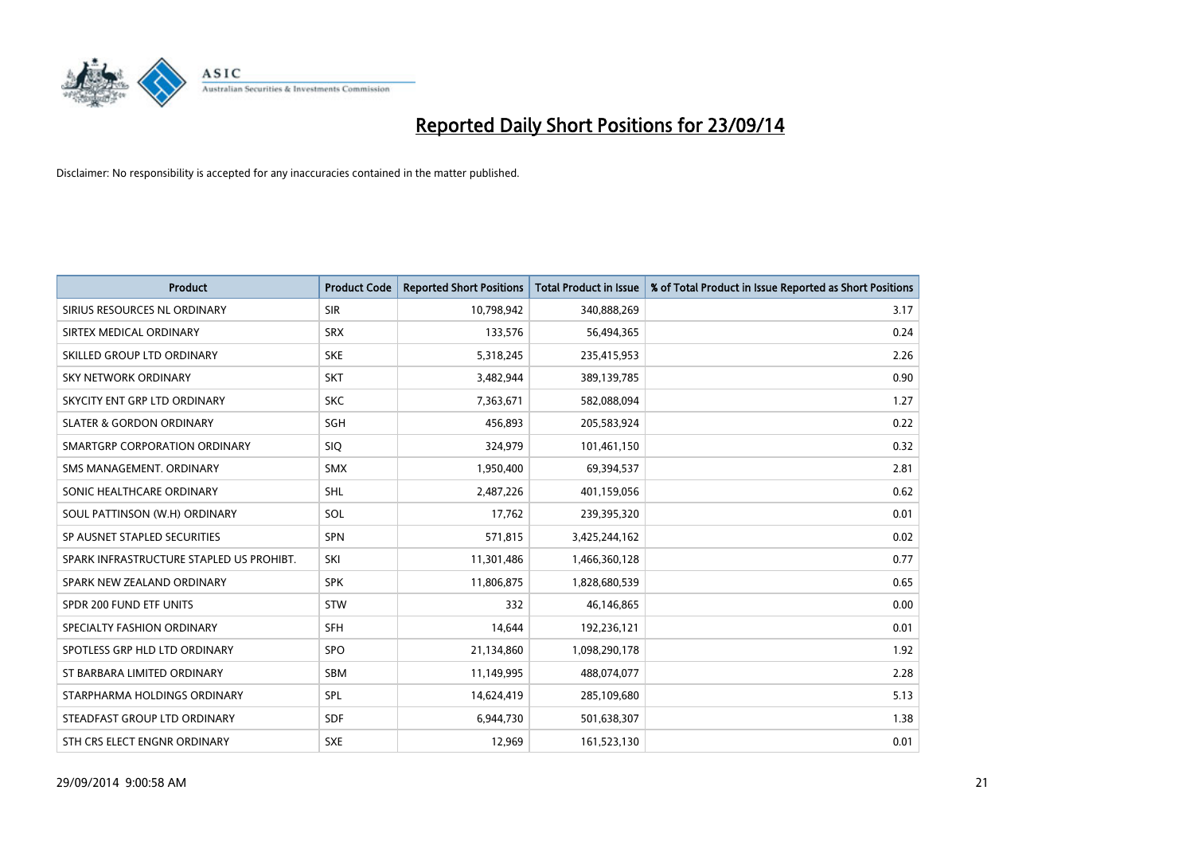

| <b>Product</b>                           | <b>Product Code</b> | <b>Reported Short Positions</b> | <b>Total Product in Issue</b> | % of Total Product in Issue Reported as Short Positions |
|------------------------------------------|---------------------|---------------------------------|-------------------------------|---------------------------------------------------------|
| SIRIUS RESOURCES NL ORDINARY             | <b>SIR</b>          | 10,798,942                      | 340,888,269                   | 3.17                                                    |
| SIRTEX MEDICAL ORDINARY                  | <b>SRX</b>          | 133,576                         | 56,494,365                    | 0.24                                                    |
| SKILLED GROUP LTD ORDINARY               | <b>SKE</b>          | 5,318,245                       | 235,415,953                   | 2.26                                                    |
| SKY NETWORK ORDINARY                     | <b>SKT</b>          | 3,482,944                       | 389,139,785                   | 0.90                                                    |
| SKYCITY ENT GRP LTD ORDINARY             | <b>SKC</b>          | 7,363,671                       | 582,088,094                   | 1.27                                                    |
| <b>SLATER &amp; GORDON ORDINARY</b>      | SGH                 | 456,893                         | 205,583,924                   | 0.22                                                    |
| SMARTGRP CORPORATION ORDINARY            | <b>SIQ</b>          | 324,979                         | 101,461,150                   | 0.32                                                    |
| SMS MANAGEMENT. ORDINARY                 | <b>SMX</b>          | 1,950,400                       | 69,394,537                    | 2.81                                                    |
| SONIC HEALTHCARE ORDINARY                | SHL                 | 2,487,226                       | 401,159,056                   | 0.62                                                    |
| SOUL PATTINSON (W.H) ORDINARY            | SOL                 | 17,762                          | 239,395,320                   | 0.01                                                    |
| SP AUSNET STAPLED SECURITIES             | SPN                 | 571,815                         | 3,425,244,162                 | 0.02                                                    |
| SPARK INFRASTRUCTURE STAPLED US PROHIBT. | SKI                 | 11,301,486                      | 1,466,360,128                 | 0.77                                                    |
| SPARK NEW ZEALAND ORDINARY               | <b>SPK</b>          | 11,806,875                      | 1,828,680,539                 | 0.65                                                    |
| SPDR 200 FUND ETF UNITS                  | <b>STW</b>          | 332                             | 46,146,865                    | 0.00                                                    |
| SPECIALTY FASHION ORDINARY               | <b>SFH</b>          | 14,644                          | 192,236,121                   | 0.01                                                    |
| SPOTLESS GRP HLD LTD ORDINARY            | <b>SPO</b>          | 21,134,860                      | 1,098,290,178                 | 1.92                                                    |
| ST BARBARA LIMITED ORDINARY              | <b>SBM</b>          | 11,149,995                      | 488,074,077                   | 2.28                                                    |
| STARPHARMA HOLDINGS ORDINARY             | SPL                 | 14,624,419                      | 285,109,680                   | 5.13                                                    |
| STEADFAST GROUP LTD ORDINARY             | <b>SDF</b>          | 6,944,730                       | 501,638,307                   | 1.38                                                    |
| STH CRS ELECT ENGNR ORDINARY             | <b>SXE</b>          | 12,969                          | 161,523,130                   | 0.01                                                    |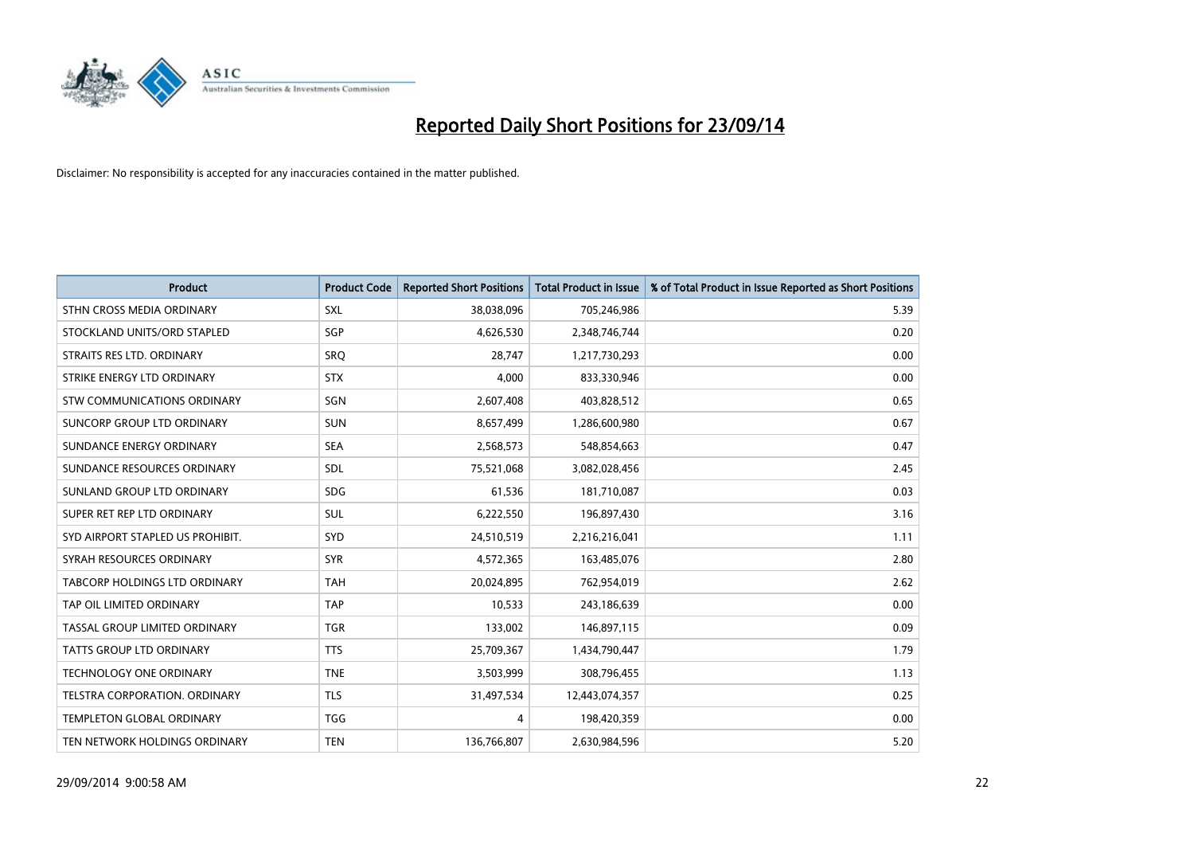

| <b>Product</b>                       | <b>Product Code</b> | <b>Reported Short Positions</b> | <b>Total Product in Issue</b> | % of Total Product in Issue Reported as Short Positions |
|--------------------------------------|---------------------|---------------------------------|-------------------------------|---------------------------------------------------------|
| STHN CROSS MEDIA ORDINARY            | <b>SXL</b>          | 38,038,096                      | 705,246,986                   | 5.39                                                    |
| STOCKLAND UNITS/ORD STAPLED          | SGP                 | 4,626,530                       | 2,348,746,744                 | 0.20                                                    |
| STRAITS RES LTD. ORDINARY            | SRO                 | 28,747                          | 1,217,730,293                 | 0.00                                                    |
| STRIKE ENERGY LTD ORDINARY           | <b>STX</b>          | 4,000                           | 833,330,946                   | 0.00                                                    |
| STW COMMUNICATIONS ORDINARY          | SGN                 | 2,607,408                       | 403,828,512                   | 0.65                                                    |
| SUNCORP GROUP LTD ORDINARY           | <b>SUN</b>          | 8,657,499                       | 1,286,600,980                 | 0.67                                                    |
| SUNDANCE ENERGY ORDINARY             | <b>SEA</b>          | 2,568,573                       | 548,854,663                   | 0.47                                                    |
| SUNDANCE RESOURCES ORDINARY          | SDL                 | 75,521,068                      | 3,082,028,456                 | 2.45                                                    |
| SUNLAND GROUP LTD ORDINARY           | <b>SDG</b>          | 61,536                          | 181,710,087                   | 0.03                                                    |
| SUPER RET REP LTD ORDINARY           | <b>SUL</b>          | 6,222,550                       | 196,897,430                   | 3.16                                                    |
| SYD AIRPORT STAPLED US PROHIBIT.     | <b>SYD</b>          | 24,510,519                      | 2,216,216,041                 | 1.11                                                    |
| SYRAH RESOURCES ORDINARY             | <b>SYR</b>          | 4,572,365                       | 163,485,076                   | 2.80                                                    |
| <b>TABCORP HOLDINGS LTD ORDINARY</b> | <b>TAH</b>          | 20,024,895                      | 762,954,019                   | 2.62                                                    |
| TAP OIL LIMITED ORDINARY             | <b>TAP</b>          | 10,533                          | 243,186,639                   | 0.00                                                    |
| TASSAL GROUP LIMITED ORDINARY        | <b>TGR</b>          | 133,002                         | 146,897,115                   | 0.09                                                    |
| TATTS GROUP LTD ORDINARY             | <b>TTS</b>          | 25,709,367                      | 1,434,790,447                 | 1.79                                                    |
| TECHNOLOGY ONE ORDINARY              | <b>TNE</b>          | 3,503,999                       | 308,796,455                   | 1.13                                                    |
| TELSTRA CORPORATION, ORDINARY        | <b>TLS</b>          | 31,497,534                      | 12,443,074,357                | 0.25                                                    |
| <b>TEMPLETON GLOBAL ORDINARY</b>     | <b>TGG</b>          | 4                               | 198,420,359                   | 0.00                                                    |
| TEN NETWORK HOLDINGS ORDINARY        | <b>TEN</b>          | 136,766,807                     | 2,630,984,596                 | 5.20                                                    |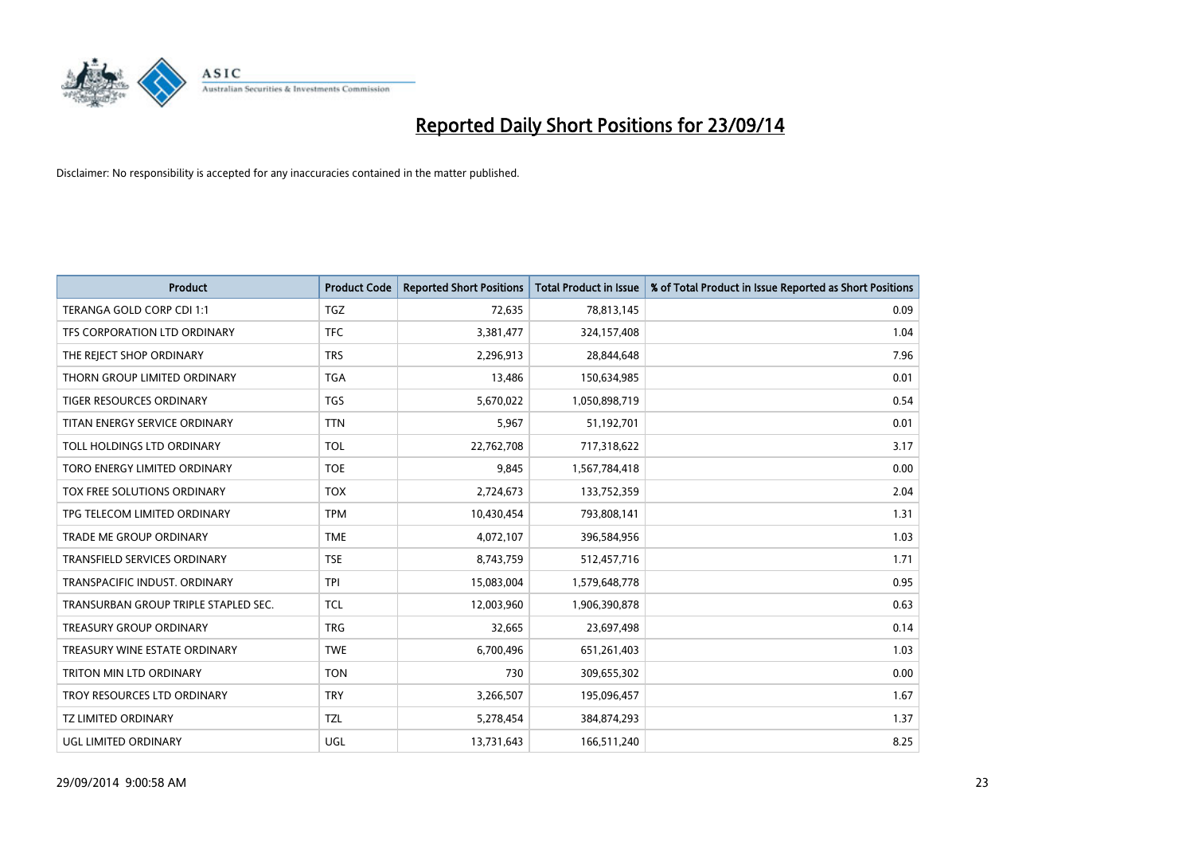

| <b>Product</b>                       | <b>Product Code</b> | <b>Reported Short Positions</b> | <b>Total Product in Issue</b> | % of Total Product in Issue Reported as Short Positions |
|--------------------------------------|---------------------|---------------------------------|-------------------------------|---------------------------------------------------------|
| TERANGA GOLD CORP CDI 1:1            | <b>TGZ</b>          | 72,635                          | 78,813,145                    | 0.09                                                    |
| TFS CORPORATION LTD ORDINARY         | <b>TFC</b>          | 3,381,477                       | 324,157,408                   | 1.04                                                    |
| THE REJECT SHOP ORDINARY             | <b>TRS</b>          | 2,296,913                       | 28,844,648                    | 7.96                                                    |
| THORN GROUP LIMITED ORDINARY         | <b>TGA</b>          | 13,486                          | 150,634,985                   | 0.01                                                    |
| <b>TIGER RESOURCES ORDINARY</b>      | <b>TGS</b>          | 5,670,022                       | 1,050,898,719                 | 0.54                                                    |
| TITAN ENERGY SERVICE ORDINARY        | <b>TTN</b>          | 5,967                           | 51,192,701                    | 0.01                                                    |
| TOLL HOLDINGS LTD ORDINARY           | <b>TOL</b>          | 22,762,708                      | 717,318,622                   | 3.17                                                    |
| TORO ENERGY LIMITED ORDINARY         | <b>TOE</b>          | 9,845                           | 1,567,784,418                 | 0.00                                                    |
| TOX FREE SOLUTIONS ORDINARY          | <b>TOX</b>          | 2,724,673                       | 133,752,359                   | 2.04                                                    |
| TPG TELECOM LIMITED ORDINARY         | <b>TPM</b>          | 10,430,454                      | 793,808,141                   | 1.31                                                    |
| TRADE ME GROUP ORDINARY              | <b>TME</b>          | 4,072,107                       | 396,584,956                   | 1.03                                                    |
| <b>TRANSFIELD SERVICES ORDINARY</b>  | <b>TSE</b>          | 8,743,759                       | 512,457,716                   | 1.71                                                    |
| TRANSPACIFIC INDUST. ORDINARY        | <b>TPI</b>          | 15,083,004                      | 1,579,648,778                 | 0.95                                                    |
| TRANSURBAN GROUP TRIPLE STAPLED SEC. | <b>TCL</b>          | 12,003,960                      | 1,906,390,878                 | 0.63                                                    |
| <b>TREASURY GROUP ORDINARY</b>       | <b>TRG</b>          | 32,665                          | 23,697,498                    | 0.14                                                    |
| TREASURY WINE ESTATE ORDINARY        | <b>TWE</b>          | 6,700,496                       | 651,261,403                   | 1.03                                                    |
| TRITON MIN LTD ORDINARY              | <b>TON</b>          | 730                             | 309,655,302                   | 0.00                                                    |
| TROY RESOURCES LTD ORDINARY          | <b>TRY</b>          | 3,266,507                       | 195,096,457                   | 1.67                                                    |
| <b>TZ LIMITED ORDINARY</b>           | <b>TZL</b>          | 5,278,454                       | 384,874,293                   | 1.37                                                    |
| UGL LIMITED ORDINARY                 | UGL                 | 13,731,643                      | 166,511,240                   | 8.25                                                    |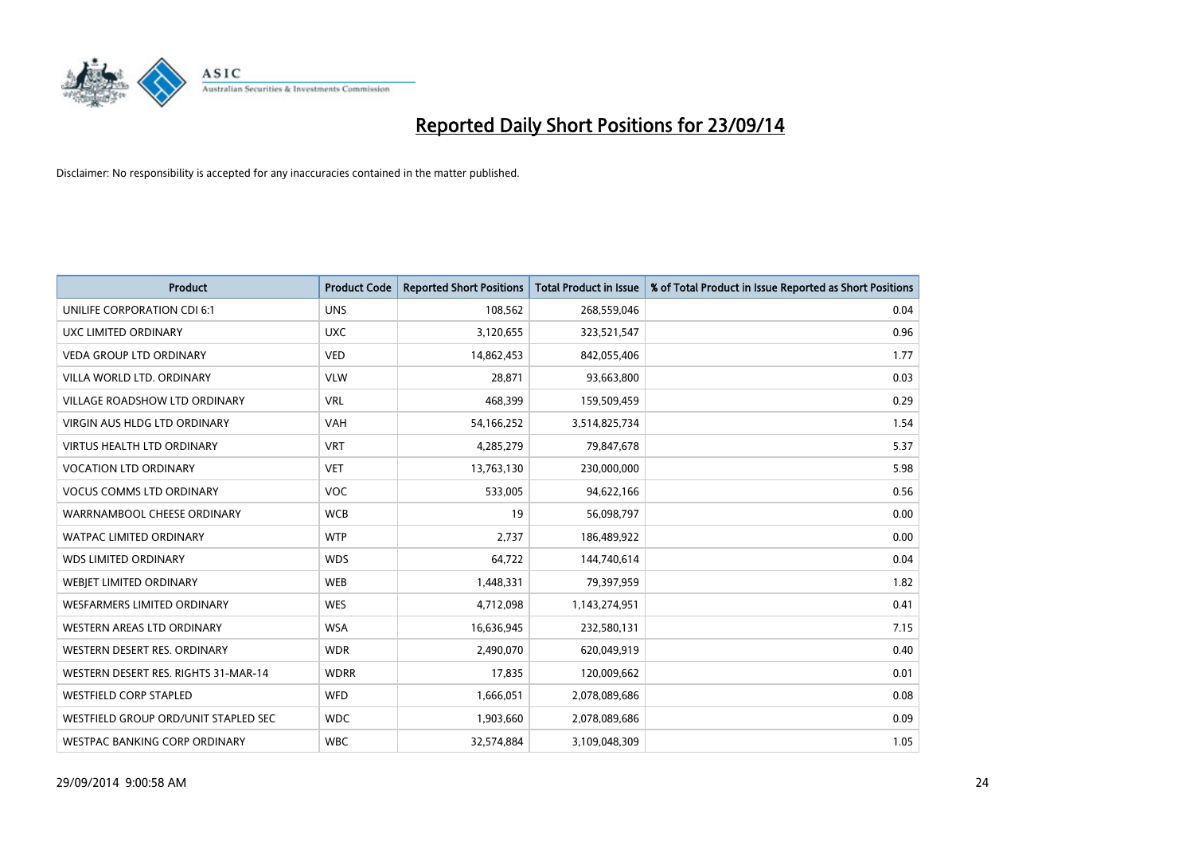

| <b>Product</b>                       | <b>Product Code</b> | <b>Reported Short Positions</b> | <b>Total Product in Issue</b> | % of Total Product in Issue Reported as Short Positions |
|--------------------------------------|---------------------|---------------------------------|-------------------------------|---------------------------------------------------------|
| UNILIFE CORPORATION CDI 6:1          | <b>UNS</b>          | 108,562                         | 268,559,046                   | 0.04                                                    |
| UXC LIMITED ORDINARY                 | <b>UXC</b>          | 3,120,655                       | 323,521,547                   | 0.96                                                    |
| <b>VEDA GROUP LTD ORDINARY</b>       | <b>VED</b>          | 14,862,453                      | 842,055,406                   | 1.77                                                    |
| VILLA WORLD LTD. ORDINARY            | <b>VLW</b>          | 28,871                          | 93,663,800                    | 0.03                                                    |
| <b>VILLAGE ROADSHOW LTD ORDINARY</b> | <b>VRL</b>          | 468,399                         | 159,509,459                   | 0.29                                                    |
| <b>VIRGIN AUS HLDG LTD ORDINARY</b>  | <b>VAH</b>          | 54,166,252                      | 3,514,825,734                 | 1.54                                                    |
| <b>VIRTUS HEALTH LTD ORDINARY</b>    | <b>VRT</b>          | 4,285,279                       | 79,847,678                    | 5.37                                                    |
| <b>VOCATION LTD ORDINARY</b>         | <b>VET</b>          | 13,763,130                      | 230,000,000                   | 5.98                                                    |
| <b>VOCUS COMMS LTD ORDINARY</b>      | VOC                 | 533,005                         | 94,622,166                    | 0.56                                                    |
| WARRNAMBOOL CHEESE ORDINARY          | <b>WCB</b>          | 19                              | 56,098,797                    | 0.00                                                    |
| WATPAC LIMITED ORDINARY              | <b>WTP</b>          | 2,737                           | 186,489,922                   | 0.00                                                    |
| <b>WDS LIMITED ORDINARY</b>          | <b>WDS</b>          | 64,722                          | 144,740,614                   | 0.04                                                    |
| WEBIET LIMITED ORDINARY              | <b>WEB</b>          | 1,448,331                       | 79,397,959                    | 1.82                                                    |
| <b>WESFARMERS LIMITED ORDINARY</b>   | <b>WES</b>          | 4,712,098                       | 1,143,274,951                 | 0.41                                                    |
| <b>WESTERN AREAS LTD ORDINARY</b>    | <b>WSA</b>          | 16,636,945                      | 232,580,131                   | 7.15                                                    |
| WESTERN DESERT RES. ORDINARY         | <b>WDR</b>          | 2,490,070                       | 620,049,919                   | 0.40                                                    |
| WESTERN DESERT RES. RIGHTS 31-MAR-14 | <b>WDRR</b>         | 17,835                          | 120,009,662                   | 0.01                                                    |
| <b>WESTFIELD CORP STAPLED</b>        | WFD                 | 1,666,051                       | 2,078,089,686                 | 0.08                                                    |
| WESTFIELD GROUP ORD/UNIT STAPLED SEC | <b>WDC</b>          | 1,903,660                       | 2,078,089,686                 | 0.09                                                    |
| WESTPAC BANKING CORP ORDINARY        | <b>WBC</b>          | 32,574,884                      | 3,109,048,309                 | 1.05                                                    |